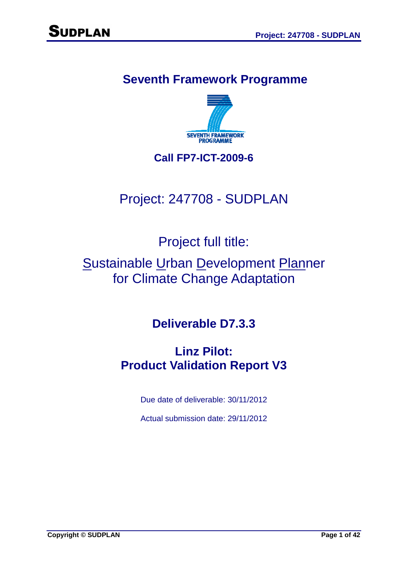# **Seventh Framework Programme**



## **Call FP7-ICT-2009-6**

# Project: 247708 - SUDPLAN

Project full title:

# Sustainable Urban Development Planner for Climate Change Adaptation

**Deliverable D7.3.3** 

# **Linz Pilot: Product Validation Report V3**

Due date of deliverable: 30/11/2012

Actual submission date: 29/11/2012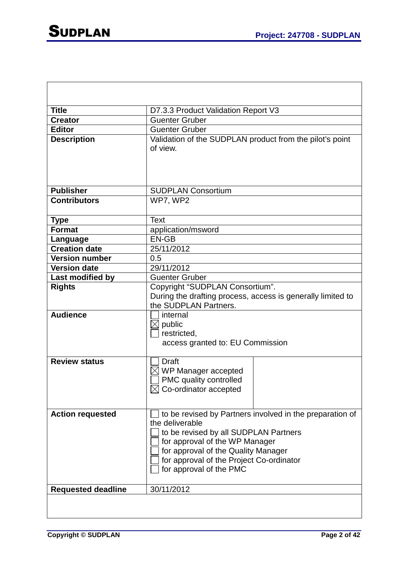| <b>Title</b>              | D7.3.3 Product Validation Report V3                                                                                                                                                                                                                                  |
|---------------------------|----------------------------------------------------------------------------------------------------------------------------------------------------------------------------------------------------------------------------------------------------------------------|
| <b>Creator</b>            | <b>Guenter Gruber</b>                                                                                                                                                                                                                                                |
| <b>Editor</b>             | <b>Guenter Gruber</b>                                                                                                                                                                                                                                                |
| <b>Description</b>        | Validation of the SUDPLAN product from the pilot's point<br>of view.                                                                                                                                                                                                 |
| <b>Publisher</b>          | <b>SUDPLAN Consortium</b>                                                                                                                                                                                                                                            |
| <b>Contributors</b>       | WP7, WP2                                                                                                                                                                                                                                                             |
| <b>Type</b>               | <b>Text</b>                                                                                                                                                                                                                                                          |
| <b>Format</b>             | application/msword                                                                                                                                                                                                                                                   |
| Language                  | <b>EN-GB</b>                                                                                                                                                                                                                                                         |
| <b>Creation date</b>      | 25/11/2012                                                                                                                                                                                                                                                           |
| <b>Version number</b>     | 0.5                                                                                                                                                                                                                                                                  |
| <b>Version date</b>       | 29/11/2012                                                                                                                                                                                                                                                           |
| Last modified by          | <b>Guenter Gruber</b>                                                                                                                                                                                                                                                |
| <b>Rights</b>             | Copyright "SUDPLAN Consortium".<br>During the drafting process, access is generally limited to<br>the SUDPLAN Partners.                                                                                                                                              |
| <b>Audience</b>           | internal<br>$\boxtimes$ public<br>restricted,<br>access granted to: EU Commission                                                                                                                                                                                    |
| <b>Review status</b>      | Draft<br>WP Manager accepted<br>PMC quality controlled<br>$\boxtimes$ Co-ordinator accepted                                                                                                                                                                          |
| <b>Action requested</b>   | to be revised by Partners involved in the preparation of<br>the deliverable<br>to be revised by all SUDPLAN Partners<br>for approval of the WP Manager<br>for approval of the Quality Manager<br>for approval of the Project Co-ordinator<br>for approval of the PMC |
| <b>Requested deadline</b> | 30/11/2012                                                                                                                                                                                                                                                           |
|                           |                                                                                                                                                                                                                                                                      |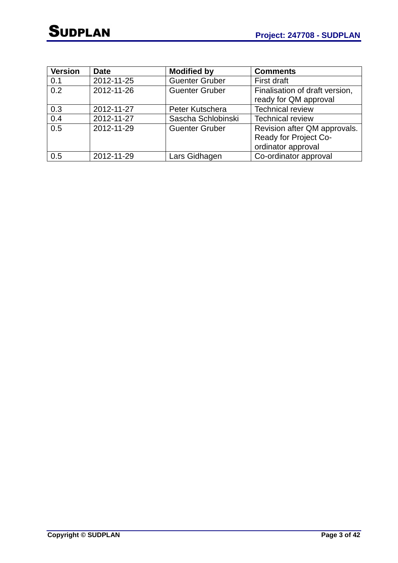| <b>Version</b> | <b>Date</b> | <b>Modified by</b>    | <b>Comments</b>                |
|----------------|-------------|-----------------------|--------------------------------|
| 0.1            | 2012-11-25  | <b>Guenter Gruber</b> | First draft                    |
| 0.2            | 2012-11-26  | <b>Guenter Gruber</b> | Finalisation of draft version, |
|                |             |                       | ready for QM approval          |
| 0.3            | 2012-11-27  | Peter Kutschera       | <b>Technical review</b>        |
| 0.4            | 2012-11-27  | Sascha Schlobinski    | <b>Technical review</b>        |
| 0.5            | 2012-11-29  | <b>Guenter Gruber</b> | Revision after QM approvals.   |
|                |             |                       | Ready for Project Co-          |
|                |             |                       | ordinator approval             |
| 0.5            | 2012-11-29  | Lars Gidhagen         | Co-ordinator approval          |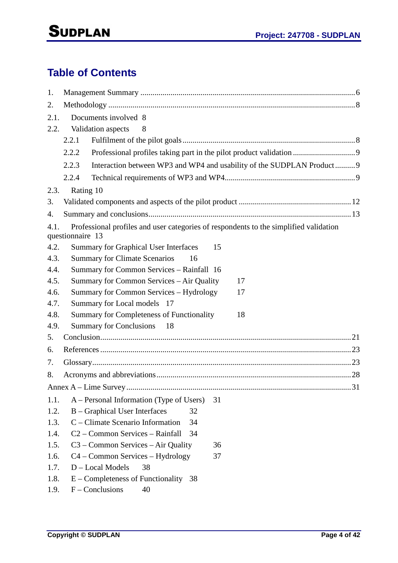# **Table of Contents**

| 1.   |                                                                                       |
|------|---------------------------------------------------------------------------------------|
| 2.   |                                                                                       |
| 2.1. | Documents involved 8                                                                  |
| 2.2. | Validation aspects<br>8                                                               |
|      | 2.2.1                                                                                 |
|      | Professional profiles taking part in the pilot product validation  9<br>2.2.2         |
|      | 2.2.3                                                                                 |
|      | Interaction between WP3 and WP4 and usability of the SUDPLAN Product9                 |
|      | 2.2.4                                                                                 |
| 2.3. | Rating 10                                                                             |
| 3.   |                                                                                       |
| 4.   |                                                                                       |
| 4.1. | Professional profiles and user categories of respondents to the simplified validation |
|      | questionnaire 13                                                                      |
| 4.2. | <b>Summary for Graphical User Interfaces</b><br>15                                    |
| 4.3. | <b>Summary for Climate Scenarios</b><br>16                                            |
| 4.4. | Summary for Common Services - Rainfall 16                                             |
| 4.5. | Summary for Common Services – Air Quality<br>17                                       |
| 4.6. | Summary for Common Services – Hydrology<br>17                                         |
| 4.7. | Summary for Local models 17                                                           |
| 4.8. | Summary for Completeness of Functionality<br>18                                       |
| 4.9. | <b>Summary for Conclusions</b><br>18                                                  |
| 5.   |                                                                                       |
| 6.   |                                                                                       |
| 7.   |                                                                                       |
| 8.   |                                                                                       |
|      | .31                                                                                   |
| 1.1. | A – Personal Information (Type of Users)<br>31                                        |
| 1.2. | <b>B</b> – Graphical User Interfaces<br>32                                            |
| 1.3. | C – Climate Scenario Information<br>34                                                |
| 1.4. | C <sub>2</sub> – Common Services – Rainfall<br>34                                     |
| 1.5. | $C3 - Common Services - Air Quality$<br>36                                            |
| 1.6. | $C4 - Common Services - Hydrology$<br>37                                              |
| 1.7. | D - Local Models<br>38                                                                |
| 1.8. | $E$ – Completeness of Functionality 38                                                |
| 1.9. | $F$ – Conclusions<br>40                                                               |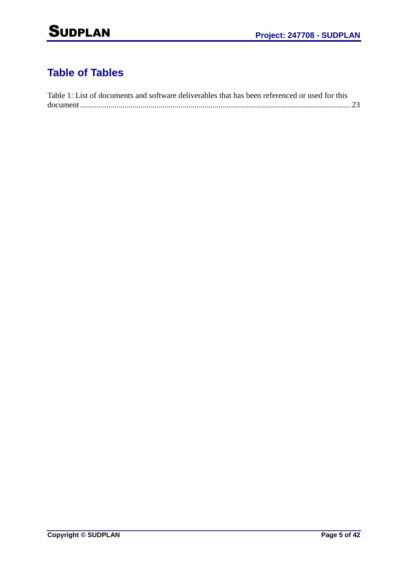# **Table of Tables**

| Table 1: List of documents and software deliverables that has been referenced or used for this |  |
|------------------------------------------------------------------------------------------------|--|
|                                                                                                |  |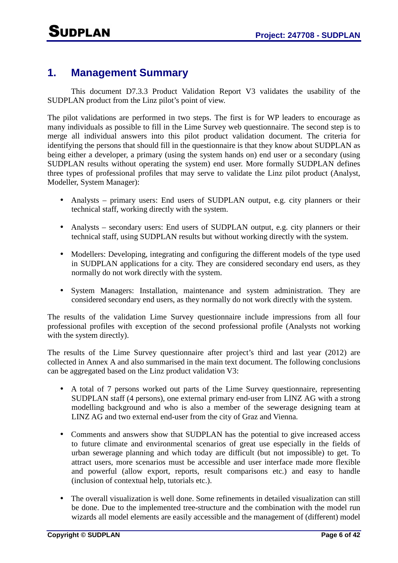## **1. Management Summary**

This document D7.3.3 Product Validation Report V3 validates the usability of the SUDPLAN product from the Linz pilot's point of view.

The pilot validations are performed in two steps. The first is for WP leaders to encourage as many individuals as possible to fill in the Lime Survey web questionnaire. The second step is to merge all individual answers into this pilot product validation document. The criteria for identifying the persons that should fill in the questionnaire is that they know about SUDPLAN as being either a developer, a primary (using the system hands on) end user or a secondary (using SUDPLAN results without operating the system) end user. More formally SUDPLAN defines three types of professional profiles that may serve to validate the Linz pilot product (Analyst, Modeller, System Manager):

- Analysts primary users: End users of SUDPLAN output, e.g. city planners or their technical staff, working directly with the system.
- Analysts secondary users: End users of SUDPLAN output, e.g. city planners or their technical staff, using SUDPLAN results but without working directly with the system.
- Modellers: Developing, integrating and configuring the different models of the type used in SUDPLAN applications for a city. They are considered secondary end users, as they normally do not work directly with the system.
- System Managers: Installation, maintenance and system administration. They are considered secondary end users, as they normally do not work directly with the system.

The results of the validation Lime Survey questionnaire include impressions from all four professional profiles with exception of the second professional profile (Analysts not working with the system directly).

The results of the Lime Survey questionnaire after project's third and last year (2012) are collected in Annex A and also summarised in the main text document. The following conclusions can be aggregated based on the Linz product validation V3:

- A total of 7 persons worked out parts of the Lime Survey questionnaire, representing SUDPLAN staff (4 persons), one external primary end-user from LINZ AG with a strong modelling background and who is also a member of the sewerage designing team at LINZ AG and two external end-user from the city of Graz and Vienna.
- Comments and answers show that SUDPLAN has the potential to give increased access to future climate and environmental scenarios of great use especially in the fields of urban sewerage planning and which today are difficult (but not impossible) to get. To attract users, more scenarios must be accessible and user interface made more flexible and powerful (allow export, reports, result comparisons etc.) and easy to handle (inclusion of contextual help, tutorials etc.).
- The overall visualization is well done. Some refinements in detailed visualization can still be done. Due to the implemented tree-structure and the combination with the model run wizards all model elements are easily accessible and the management of (different) model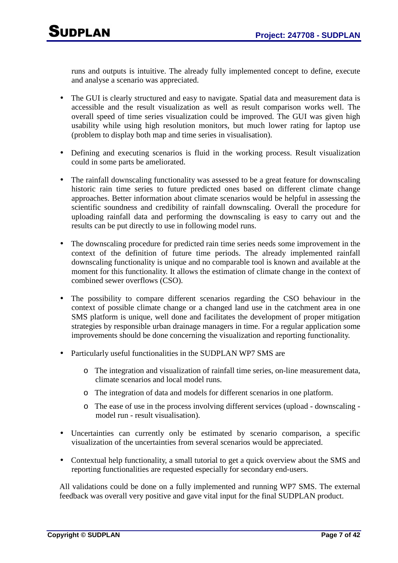runs and outputs is intuitive. The already fully implemented concept to define, execute and analyse a scenario was appreciated.

- The GUI is clearly structured and easy to navigate. Spatial data and measurement data is accessible and the result visualization as well as result comparison works well. The overall speed of time series visualization could be improved. The GUI was given high usability while using high resolution monitors, but much lower rating for laptop use (problem to display both map and time series in visualisation).
- Defining and executing scenarios is fluid in the working process. Result visualization could in some parts be ameliorated.
- The rainfall downscaling functionality was assessed to be a great feature for downscaling historic rain time series to future predicted ones based on different climate change approaches. Better information about climate scenarios would be helpful in assessing the scientific soundness and credibility of rainfall downscaling. Overall the procedure for uploading rainfall data and performing the downscaling is easy to carry out and the results can be put directly to use in following model runs.
- The downscaling procedure for predicted rain time series needs some improvement in the context of the definition of future time periods. The already implemented rainfall downscaling functionality is unique and no comparable tool is known and available at the moment for this functionality. It allows the estimation of climate change in the context of combined sewer overflows (CSO).
- The possibility to compare different scenarios regarding the CSO behaviour in the context of possible climate change or a changed land use in the catchment area in one SMS platform is unique, well done and facilitates the development of proper mitigation strategies by responsible urban drainage managers in time. For a regular application some improvements should be done concerning the visualization and reporting functionality.
- Particularly useful functionalities in the SUDPLAN WP7 SMS are
	- o The integration and visualization of rainfall time series, on-line measurement data, climate scenarios and local model runs.
	- o The integration of data and models for different scenarios in one platform.
	- o The ease of use in the process involving different services (upload downscaling model run - result visualisation).
- Uncertainties can currently only be estimated by scenario comparison, a specific visualization of the uncertainties from several scenarios would be appreciated.
- Contextual help functionality, a small tutorial to get a quick overview about the SMS and reporting functionalities are requested especially for secondary end-users.

All validations could be done on a fully implemented and running WP7 SMS. The external feedback was overall very positive and gave vital input for the final SUDPLAN product.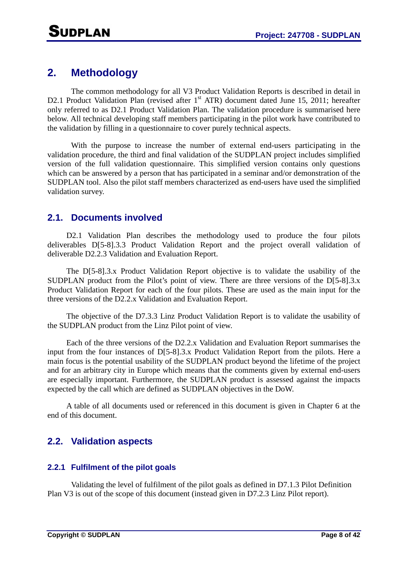## **2. Methodology**

The common methodology for all V3 Product Validation Reports is described in detail in D2.1 Product Validation Plan (revised after 1<sup>st</sup> ATR) document dated June 15, 2011; hereafter only referred to as D2.1 Product Validation Plan. The validation procedure is summarised here below. All technical developing staff members participating in the pilot work have contributed to the validation by filling in a questionnaire to cover purely technical aspects.

With the purpose to increase the number of external end-users participating in the validation procedure, the third and final validation of the SUDPLAN project includes simplified version of the full validation questionnaire. This simplified version contains only questions which can be answered by a person that has participated in a seminar and/or demonstration of the SUDPLAN tool. Also the pilot staff members characterized as end-users have used the simplified validation survey.

### **2.1. Documents involved**

D2.1 Validation Plan describes the methodology used to produce the four pilots deliverables D[5-8].3.3 Product Validation Report and the project overall validation of deliverable D2.2.3 Validation and Evaluation Report.

The D[5-8].3.x Product Validation Report objective is to validate the usability of the SUDPLAN product from the Pilot's point of view. There are three versions of the D[5-8].3.x Product Validation Report for each of the four pilots. These are used as the main input for the three versions of the D2.2.x Validation and Evaluation Report.

The objective of the D7.3.3 Linz Product Validation Report is to validate the usability of the SUDPLAN product from the Linz Pilot point of view.

Each of the three versions of the D2.2.x Validation and Evaluation Report summarises the input from the four instances of D[5-8].3.x Product Validation Report from the pilots. Here a main focus is the potential usability of the SUDPLAN product beyond the lifetime of the project and for an arbitrary city in Europe which means that the comments given by external end-users are especially important. Furthermore, the SUDPLAN product is assessed against the impacts expected by the call which are defined as SUDPLAN objectives in the DoW.

A table of all documents used or referenced in this document is given in Chapter 6 at the end of this document.

## **2.2. Validation aspects**

### **2.2.1 Fulfilment of the pilot goals**

Validating the level of fulfilment of the pilot goals as defined in D7.1.3 Pilot Definition Plan V3 is out of the scope of this document (instead given in D7.2.3 Linz Pilot report).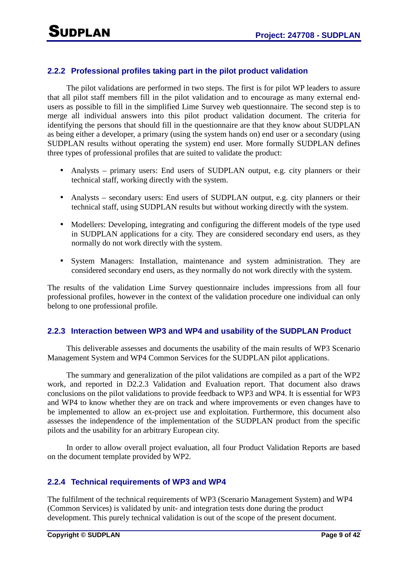### **2.2.2 Professional profiles taking part in the pilot product validation**

The pilot validations are performed in two steps. The first is for pilot WP leaders to assure that all pilot staff members fill in the pilot validation and to encourage as many external endusers as possible to fill in the simplified Lime Survey web questionnaire. The second step is to merge all individual answers into this pilot product validation document. The criteria for identifying the persons that should fill in the questionnaire are that they know about SUDPLAN as being either a developer, a primary (using the system hands on) end user or a secondary (using SUDPLAN results without operating the system) end user. More formally SUDPLAN defines three types of professional profiles that are suited to validate the product:

- Analysts primary users: End users of SUDPLAN output, e.g. city planners or their technical staff, working directly with the system.
- Analysts secondary users: End users of SUDPLAN output, e.g. city planners or their technical staff, using SUDPLAN results but without working directly with the system.
- Modellers: Developing, integrating and configuring the different models of the type used in SUDPLAN applications for a city. They are considered secondary end users, as they normally do not work directly with the system.
- System Managers: Installation, maintenance and system administration. They are considered secondary end users, as they normally do not work directly with the system.

The results of the validation Lime Survey questionnaire includes impressions from all four professional profiles, however in the context of the validation procedure one individual can only belong to one professional profile.

### **2.2.3 Interaction between WP3 and WP4 and usability of the SUDPLAN Product**

This deliverable assesses and documents the usability of the main results of WP3 Scenario Management System and WP4 Common Services for the SUDPLAN pilot applications.

The summary and generalization of the pilot validations are compiled as a part of the WP2 work, and reported in D2.2.3 Validation and Evaluation report. That document also draws conclusions on the pilot validations to provide feedback to WP3 and WP4. It is essential for WP3 and WP4 to know whether they are on track and where improvements or even changes have to be implemented to allow an ex-project use and exploitation. Furthermore, this document also assesses the independence of the implementation of the SUDPLAN product from the specific pilots and the usability for an arbitrary European city.

In order to allow overall project evaluation, all four Product Validation Reports are based on the document template provided by WP2.

### **2.2.4 Technical requirements of WP3 and WP4**

The fulfilment of the technical requirements of WP3 (Scenario Management System) and WP4 (Common Services) is validated by unit- and integration tests done during the product development. This purely technical validation is out of the scope of the present document.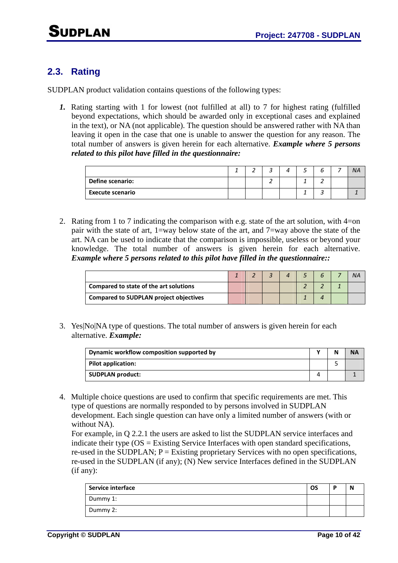## **2.3. Rating**

SUDPLAN product validation contains questions of the following types:

*1.* Rating starting with 1 for lowest (not fulfilled at all) to 7 for highest rating (fulfilled beyond expectations, which should be awarded only in exceptional cases and explained in the text), or NA (not applicable). The question should be answered rather with NA than leaving it open in the case that one is unable to answer the question for any reason. The total number of answers is given herein for each alternative. *Example where 5 persons related to this pilot have filled in the questionnaire:* 

|                         | ∸ |  |  |  | <b>NA</b> |
|-------------------------|---|--|--|--|-----------|
| <b>Define scenario:</b> |   |  |  |  |           |
| <b>Execute scenario</b> |   |  |  |  |           |

2. Rating from 1 to 7 indicating the comparison with e.g. state of the art solution, with 4=on pair with the state of art, 1=way below state of the art, and 7=way above the state of the art. NA can be used to indicate that the comparison is impossible, useless or beyond your knowledge. The total number of answers is given herein for each alternative. *Example where 5 persons related to this pilot have filled in the questionnaire::*

|                                               |  |  |  | NÆ |
|-----------------------------------------------|--|--|--|----|
| Compared to state of the art solutions        |  |  |  |    |
| <b>Compared to SUDPLAN project objectives</b> |  |  |  |    |

3. Yes|No|NA type of questions. The total number of answers is given herein for each alternative. *Example:*

| Dynamic workflow composition supported by |  |  |
|-------------------------------------------|--|--|
| Pilot application:                        |  |  |
| <b>SUDPLAN product:</b>                   |  |  |

4. Multiple choice questions are used to confirm that specific requirements are met. This type of questions are normally responded to by persons involved in SUDPLAN development. Each single question can have only a limited number of answers (with or without NA).

For example, in Q 2.2.1 the users are asked to list the SUDPLAN service interfaces and indicate their type  $OS =$  Existing Service Interfaces with open standard specifications, re-used in the SUDPLAN;  $P =$  Existing proprietary Services with no open specifications, re-used in the SUDPLAN (if any); (N) New service Interfaces defined in the SUDPLAN (if any):

| <b>Service interface</b> | OS | ю | N |
|--------------------------|----|---|---|
| Dummy 1:                 |    |   |   |
| Dummy 2:                 |    |   |   |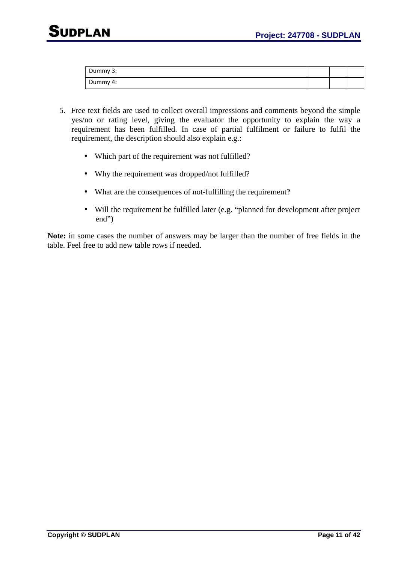| Dummy 3: |  |  |
|----------|--|--|
| Dummy 4: |  |  |

- 5. Free text fields are used to collect overall impressions and comments beyond the simple yes/no or rating level, giving the evaluator the opportunity to explain the way a requirement has been fulfilled. In case of partial fulfilment or failure to fulfil the requirement, the description should also explain e.g.:
	- Which part of the requirement was not fulfilled?
	- Why the requirement was dropped/not fulfilled?
	- What are the consequences of not-fulfilling the requirement?
	- Will the requirement be fulfilled later (e.g. "planned for development after project end")

**Note:** in some cases the number of answers may be larger than the number of free fields in the table. Feel free to add new table rows if needed.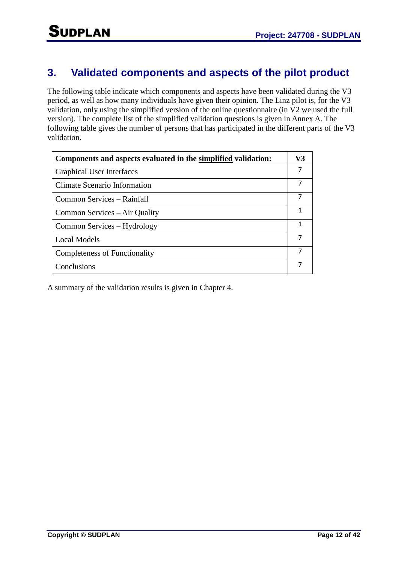## **3. Validated components and aspects of the pilot product**

The following table indicate which components and aspects have been validated during the V3 period, as well as how many individuals have given their opinion. The Linz pilot is, for the V3 validation, only using the simplified version of the online questionnaire (in V2 we used the full version). The complete list of the simplified validation questions is given in Annex A. The following table gives the number of persons that has participated in the different parts of the V3 validation.

| Components and aspects evaluated in the simplified validation: | V3 |
|----------------------------------------------------------------|----|
| <b>Graphical User Interfaces</b>                               |    |
| Climate Scenario Information                                   |    |
| Common Services – Rainfall                                     |    |
| Common Services – Air Quality                                  |    |
| Common Services – Hydrology                                    |    |
| <b>Local Models</b>                                            |    |
| Completeness of Functionality                                  |    |
| Conclusions                                                    |    |

A summary of the validation results is given in Chapter 4.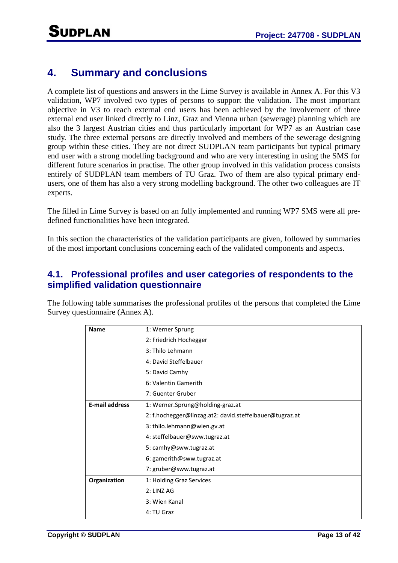## **4. Summary and conclusions**

A complete list of questions and answers in the Lime Survey is available in Annex A. For this V3 validation, WP7 involved two types of persons to support the validation. The most important objective in V3 to reach external end users has been achieved by the involvement of three external end user linked directly to Linz, Graz and Vienna urban (sewerage) planning which are also the 3 largest Austrian cities and thus particularly important for WP7 as an Austrian case study. The three external persons are directly involved and members of the sewerage designing group within these cities. They are not direct SUDPLAN team participants but typical primary end user with a strong modelling background and who are very interesting in using the SMS for different future scenarios in practise. The other group involved in this validation process consists entirely of SUDPLAN team members of TU Graz. Two of them are also typical primary endusers, one of them has also a very strong modelling background. The other two colleagues are IT experts.

The filled in Lime Survey is based on an fully implemented and running WP7 SMS were all predefined functionalities have been integrated.

In this section the characteristics of the validation participants are given, followed by summaries of the most important conclusions concerning each of the validated components and aspects.

### **4.1. Professional profiles and user categories of respondents to the simplified validation questionnaire**

The following table summarises the professional profiles of the persons that completed the Lime Survey questionnaire (Annex A).

| <b>Name</b>           | 1: Werner Sprung                                        |
|-----------------------|---------------------------------------------------------|
|                       | 2: Friedrich Hochegger                                  |
|                       | 3: Thilo Lehmann                                        |
|                       | 4: David Steffelbauer                                   |
|                       | 5: David Camhy                                          |
|                       | 6: Valentin Gamerith                                    |
|                       | 7: Guenter Gruber                                       |
| <b>E-mail address</b> | 1: Werner.Sprung@holding-graz.at                        |
|                       | 2: f.hochegger@linzag.at2: david.steffelbauer@tugraz.at |
|                       | 3: thilo.lehmann@wien.gv.at                             |
|                       | 4: steffelbauer@sww.tugraz.at                           |
|                       | 5: camhy@sww.tugraz.at                                  |
|                       | 6: gamerith@sww.tugraz.at                               |
|                       | 7: gruber@sww.tugraz.at                                 |
| Organization          | 1: Holding Graz Services                                |
|                       | 2: LINZ AG                                              |
|                       | 3: Wien Kanal                                           |
|                       | 4: TU Graz                                              |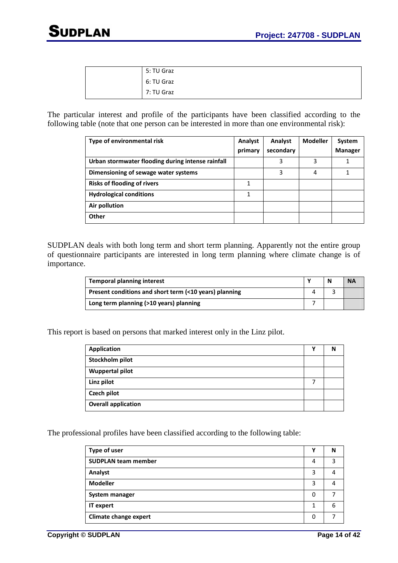| 5: TU Graz |
|------------|
| 6: TU Graz |
| 7: TU Graz |

The particular interest and profile of the participants have been classified according to the following table (note that one person can be interested in more than one environmental risk):

| Type of environmental risk                        | Analyst<br>primary | Analyst<br>secondary | <b>Modeller</b> | System<br><b>Manager</b> |
|---------------------------------------------------|--------------------|----------------------|-----------------|--------------------------|
| Urban stormwater flooding during intense rainfall |                    | 3                    | 3               |                          |
| Dimensioning of sewage water systems              |                    | 3                    | 4               | 1                        |
| <b>Risks of flooding of rivers</b>                | 1                  |                      |                 |                          |
| <b>Hydrological conditions</b>                    | 1                  |                      |                 |                          |
| Air pollution                                     |                    |                      |                 |                          |
| Other                                             |                    |                      |                 |                          |

SUDPLAN deals with both long term and short term planning. Apparently not the entire group of questionnaire participants are interested in long term planning where climate change is of importance.

| <b>Temporal planning interest</b>                      |  | N | <b>NA</b> |
|--------------------------------------------------------|--|---|-----------|
| Present conditions and short term (<10 years) planning |  |   |           |
| Long term planning (>10 years) planning                |  |   |           |

This report is based on persons that marked interest only in the Linz pilot.

| <b>Application</b>         | ν | N |
|----------------------------|---|---|
| Stockholm pilot            |   |   |
| <b>Wuppertal pilot</b>     |   |   |
| Linz pilot                 |   |   |
| Czech pilot                |   |   |
| <b>Overall application</b> |   |   |

The professional profiles have been classified according to the following table:

| Type of user                 |   | N |
|------------------------------|---|---|
| <b>SUDPLAN team member</b>   | 4 | 3 |
| Analyst                      | 3 | 4 |
| <b>Modeller</b>              | 3 | 4 |
| System manager               | 0 |   |
| IT expert                    | 1 | 6 |
| <b>Climate change expert</b> | 0 |   |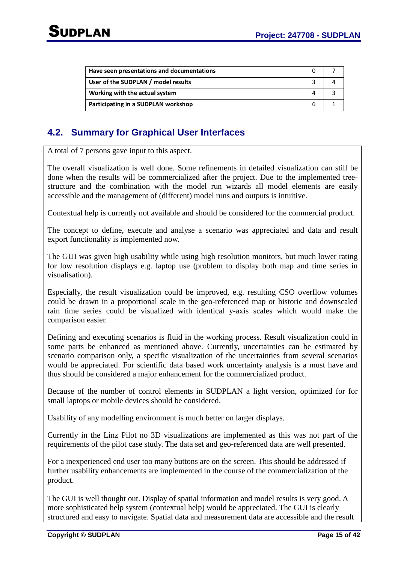| Have seen presentations and documentations |   |  |
|--------------------------------------------|---|--|
| User of the SUDPLAN / model results        |   |  |
| Working with the actual system             |   |  |
| Participating in a SUDPLAN workshop        | h |  |

## **4.2. Summary for Graphical User Interfaces**

A total of 7 persons gave input to this aspect.

The overall visualization is well done. Some refinements in detailed visualization can still be done when the results will be commercialized after the project. Due to the implemented treestructure and the combination with the model run wizards all model elements are easily accessible and the management of (different) model runs and outputs is intuitive.

Contextual help is currently not available and should be considered for the commercial product.

The concept to define, execute and analyse a scenario was appreciated and data and result export functionality is implemented now.

The GUI was given high usability while using high resolution monitors, but much lower rating for low resolution displays e.g. laptop use (problem to display both map and time series in visualisation).

Especially, the result visualization could be improved, e.g. resulting CSO overflow volumes could be drawn in a proportional scale in the geo-referenced map or historic and downscaled rain time series could be visualized with identical y-axis scales which would make the comparison easier.

Defining and executing scenarios is fluid in the working process. Result visualization could in some parts be enhanced as mentioned above. Currently, uncertainties can be estimated by scenario comparison only, a specific visualization of the uncertainties from several scenarios would be appreciated. For scientific data based work uncertainty analysis is a must have and thus should be considered a major enhancement for the commercialized product.

Because of the number of control elements in SUDPLAN a light version, optimized for for small laptops or mobile devices should be considered.

Usability of any modelling environment is much better on larger displays.

Currently in the Linz Pilot no 3D visualizations are implemented as this was not part of the requirements of the pilot case study. The data set and geo-referenced data are well presented.

For a inexperienced end user too many buttons are on the screen. This should be addressed if further usability enhancements are implemented in the course of the commercialization of the product.

The GUI is well thought out. Display of spatial information and model results is very good. A more sophisticated help system (contextual help) would be appreciated. The GUI is clearly structured and easy to navigate. Spatial data and measurement data are accessible and the result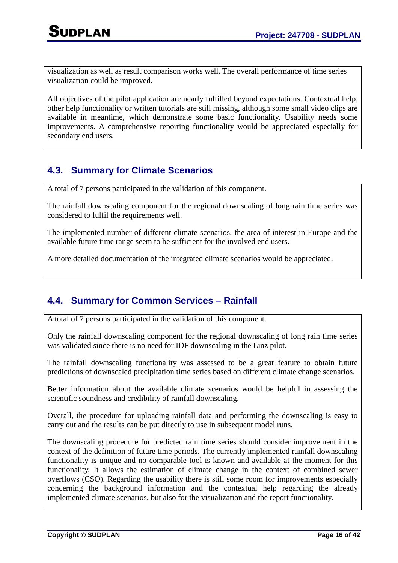visualization as well as result comparison works well. The overall performance of time series visualization could be improved.

All objectives of the pilot application are nearly fulfilled beyond expectations. Contextual help, other help functionality or written tutorials are still missing, although some small video clips are available in meantime, which demonstrate some basic functionality. Usability needs some improvements. A comprehensive reporting functionality would be appreciated especially for secondary end users.

## **4.3. Summary for Climate Scenarios**

A total of 7 persons participated in the validation of this component.

The rainfall downscaling component for the regional downscaling of long rain time series was considered to fulfil the requirements well.

The implemented number of different climate scenarios, the area of interest in Europe and the available future time range seem to be sufficient for the involved end users.

A more detailed documentation of the integrated climate scenarios would be appreciated.

## **4.4. Summary for Common Services – Rainfall**

A total of 7 persons participated in the validation of this component.

Only the rainfall downscaling component for the regional downscaling of long rain time series was validated since there is no need for IDF downscaling in the Linz pilot.

The rainfall downscaling functionality was assessed to be a great feature to obtain future predictions of downscaled precipitation time series based on different climate change scenarios.

Better information about the available climate scenarios would be helpful in assessing the scientific soundness and credibility of rainfall downscaling.

Overall, the procedure for uploading rainfall data and performing the downscaling is easy to carry out and the results can be put directly to use in subsequent model runs.

The downscaling procedure for predicted rain time series should consider improvement in the context of the definition of future time periods. The currently implemented rainfall downscaling functionality is unique and no comparable tool is known and available at the moment for this functionality. It allows the estimation of climate change in the context of combined sewer overflows (CSO). Regarding the usability there is still some room for improvements especially concerning the background information and the contextual help regarding the already implemented climate scenarios, but also for the visualization and the report functionality.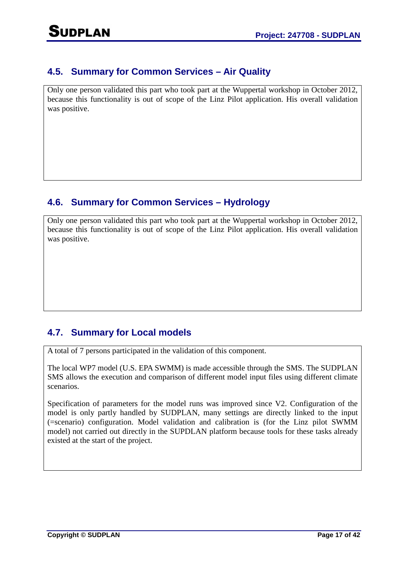## **4.5. Summary for Common Services – Air Quality**

Only one person validated this part who took part at the Wuppertal workshop in October 2012, because this functionality is out of scope of the Linz Pilot application. His overall validation was positive.

## **4.6. Summary for Common Services – Hydrology**

Only one person validated this part who took part at the Wuppertal workshop in October 2012, because this functionality is out of scope of the Linz Pilot application. His overall validation was positive.

## **4.7. Summary for Local models**

A total of 7 persons participated in the validation of this component.

The local WP7 model (U.S. EPA SWMM) is made accessible through the SMS. The SUDPLAN SMS allows the execution and comparison of different model input files using different climate scenarios.

Specification of parameters for the model runs was improved since V2. Configuration of the model is only partly handled by SUDPLAN, many settings are directly linked to the input (=scenario) configuration. Model validation and calibration is (for the Linz pilot SWMM model) not carried out directly in the SUPDLAN platform because tools for these tasks already existed at the start of the project.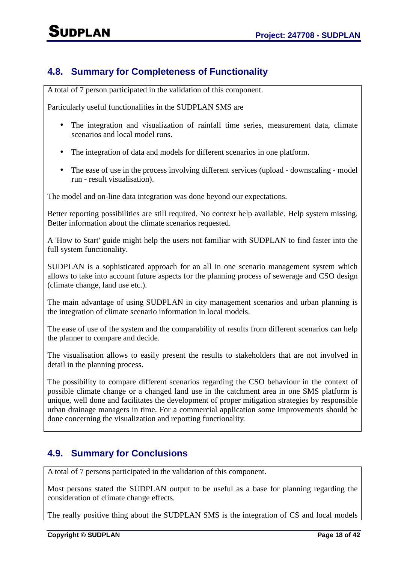## **4.8. Summary for Completeness of Functionality**

A total of 7 person participated in the validation of this component.

Particularly useful functionalities in the SUDPLAN SMS are

- The integration and visualization of rainfall time series, measurement data, climate scenarios and local model runs.
- The integration of data and models for different scenarios in one platform.
- The ease of use in the process involving different services (upload downscaling model run - result visualisation).

The model and on-line data integration was done beyond our expectations.

Better reporting possibilities are still required. No context help available. Help system missing. Better information about the climate scenarios requested.

A 'How to Start' guide might help the users not familiar with SUDPLAN to find faster into the full system functionality.

SUDPLAN is a sophisticated approach for an all in one scenario management system which allows to take into account future aspects for the planning process of sewerage and CSO design (climate change, land use etc.).

The main advantage of using SUDPLAN in city management scenarios and urban planning is the integration of climate scenario information in local models.

The ease of use of the system and the comparability of results from different scenarios can help the planner to compare and decide.

The visualisation allows to easily present the results to stakeholders that are not involved in detail in the planning process.

The possibility to compare different scenarios regarding the CSO behaviour in the context of possible climate change or a changed land use in the catchment area in one SMS platform is unique, well done and facilitates the development of proper mitigation strategies by responsible urban drainage managers in time. For a commercial application some improvements should be done concerning the visualization and reporting functionality.

## **4.9. Summary for Conclusions**

A total of 7 persons participated in the validation of this component.

Most persons stated the SUDPLAN output to be useful as a base for planning regarding the consideration of climate change effects.

The really positive thing about the SUDPLAN SMS is the integration of CS and local models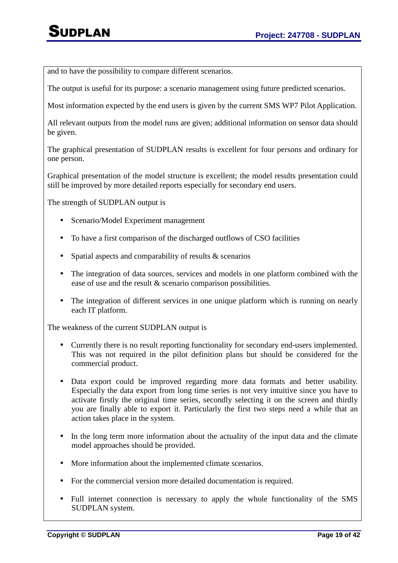and to have the possibility to compare different scenarios.

The output is useful for its purpose: a scenario management using future predicted scenarios.

Most information expected by the end users is given by the current SMS WP7 Pilot Application.

All relevant outputs from the model runs are given; additional information on sensor data should be given.

The graphical presentation of SUDPLAN results is excellent for four persons and ordinary for one person.

Graphical presentation of the model structure is excellent; the model results presentation could still be improved by more detailed reports especially for secondary end users.

The strength of SUDPLAN output is

- Scenario/Model Experiment management
- To have a first comparison of the discharged outflows of CSO facilities
- Spatial aspects and comparability of results & scenarios
- The integration of data sources, services and models in one platform combined with the ease of use and the result & scenario comparison possibilities.
- The integration of different services in one unique platform which is running on nearly each IT platform.

The weakness of the current SUDPLAN output is

- Currently there is no result reporting functionality for secondary end-users implemented. This was not required in the pilot definition plans but should be considered for the commercial product.
- Data export could be improved regarding more data formats and better usability. Especially the data export from long time series is not very intuitive since you have to activate firstly the original time series, secondly selecting it on the screen and thirdly you are finally able to export it. Particularly the first two steps need a while that an action takes place in the system.
- In the long term more information about the actuality of the input data and the climate model approaches should be provided.
- More information about the implemented climate scenarios.
- For the commercial version more detailed documentation is required.
- Full internet connection is necessary to apply the whole functionality of the SMS SUDPLAN system.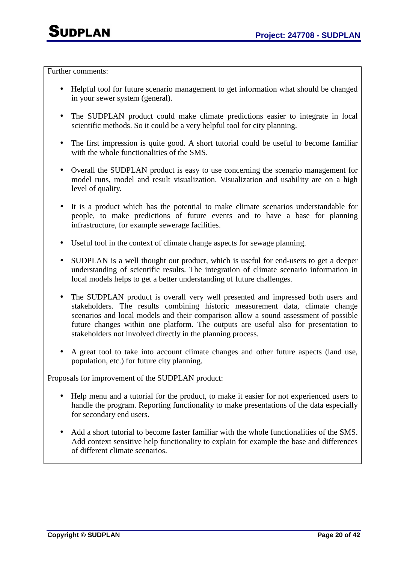Further comments:

- Helpful tool for future scenario management to get information what should be changed in your sewer system (general).
- The SUDPLAN product could make climate predictions easier to integrate in local scientific methods. So it could be a very helpful tool for city planning.
- The first impression is quite good. A short tutorial could be useful to become familiar with the whole functionalities of the SMS.
- Overall the SUDPLAN product is easy to use concerning the scenario management for model runs, model and result visualization. Visualization and usability are on a high level of quality.
- It is a product which has the potential to make climate scenarios understandable for people, to make predictions of future events and to have a base for planning infrastructure, for example sewerage facilities.
- Useful tool in the context of climate change aspects for sewage planning.
- SUDPLAN is a well thought out product, which is useful for end-users to get a deeper understanding of scientific results. The integration of climate scenario information in local models helps to get a better understanding of future challenges.
- The SUDPLAN product is overall very well presented and impressed both users and stakeholders. The results combining historic measurement data, climate change scenarios and local models and their comparison allow a sound assessment of possible future changes within one platform. The outputs are useful also for presentation to stakeholders not involved directly in the planning process.
- A great tool to take into account climate changes and other future aspects (land use, population, etc.) for future city planning.

Proposals for improvement of the SUDPLAN product:

- Help menu and a tutorial for the product, to make it easier for not experienced users to handle the program. Reporting functionality to make presentations of the data especially for secondary end users.
- Add a short tutorial to become faster familiar with the whole functionalities of the SMS. Add context sensitive help functionality to explain for example the base and differences of different climate scenarios.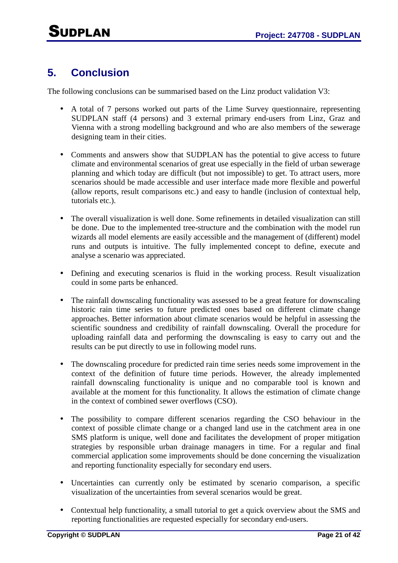## **5. Conclusion**

The following conclusions can be summarised based on the Linz product validation V3:

- A total of 7 persons worked out parts of the Lime Survey questionnaire, representing SUDPLAN staff (4 persons) and 3 external primary end-users from Linz, Graz and Vienna with a strong modelling background and who are also members of the sewerage designing team in their cities.
- Comments and answers show that SUDPLAN has the potential to give access to future climate and environmental scenarios of great use especially in the field of urban sewerage planning and which today are difficult (but not impossible) to get. To attract users, more scenarios should be made accessible and user interface made more flexible and powerful (allow reports, result comparisons etc.) and easy to handle (inclusion of contextual help, tutorials etc.).
- The overall visualization is well done. Some refinements in detailed visualization can still be done. Due to the implemented tree-structure and the combination with the model run wizards all model elements are easily accessible and the management of (different) model runs and outputs is intuitive. The fully implemented concept to define, execute and analyse a scenario was appreciated.
- Defining and executing scenarios is fluid in the working process. Result visualization could in some parts be enhanced.
- The rainfall downscaling functionality was assessed to be a great feature for downscaling historic rain time series to future predicted ones based on different climate change approaches. Better information about climate scenarios would be helpful in assessing the scientific soundness and credibility of rainfall downscaling. Overall the procedure for uploading rainfall data and performing the downscaling is easy to carry out and the results can be put directly to use in following model runs.
- The downscaling procedure for predicted rain time series needs some improvement in the context of the definition of future time periods. However, the already implemented rainfall downscaling functionality is unique and no comparable tool is known and available at the moment for this functionality. It allows the estimation of climate change in the context of combined sewer overflows (CSO).
- The possibility to compare different scenarios regarding the CSO behaviour in the context of possible climate change or a changed land use in the catchment area in one SMS platform is unique, well done and facilitates the development of proper mitigation strategies by responsible urban drainage managers in time. For a regular and final commercial application some improvements should be done concerning the visualization and reporting functionality especially for secondary end users.
- Uncertainties can currently only be estimated by scenario comparison, a specific visualization of the uncertainties from several scenarios would be great.
- Contextual help functionality, a small tutorial to get a quick overview about the SMS and reporting functionalities are requested especially for secondary end-users.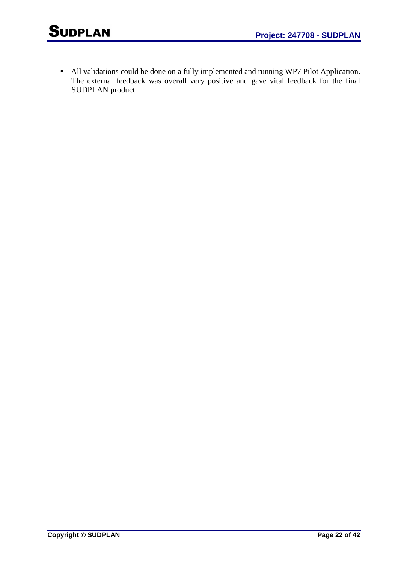• All validations could be done on a fully implemented and running WP7 Pilot Application. The external feedback was overall very positive and gave vital feedback for the final SUDPLAN product.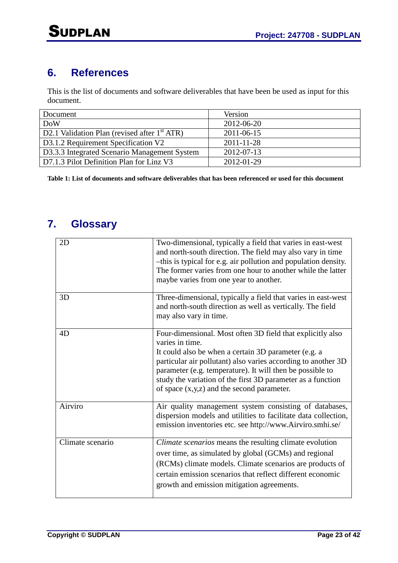## **6. References**

This is the list of documents and software deliverables that have been be used as input for this document.

| Document                                        | Version    |
|-------------------------------------------------|------------|
| <b>DoW</b>                                      | 2012-06-20 |
| D2.1 Validation Plan (revised after $1st ATR$ ) | 2011-06-15 |
| D3.1.2 Requirement Specification V2             | 2011-11-28 |
| D3.3.3 Integrated Scenario Management System    | 2012-07-13 |
| D7.1.3 Pilot Definition Plan for Linz V3        | 2012-01-29 |

**Table 1: List of documents and software deliverables that has been referenced or used for this document** 

## **7. Glossary**

| 2D               | Two-dimensional, typically a field that varies in east-west<br>and north-south direction. The field may also vary in time<br>-this is typical for e.g. air pollution and population density.<br>The former varies from one hour to another while the latter<br>maybe varies from one year to another.                                                                              |
|------------------|------------------------------------------------------------------------------------------------------------------------------------------------------------------------------------------------------------------------------------------------------------------------------------------------------------------------------------------------------------------------------------|
| 3D               | Three-dimensional, typically a field that varies in east-west<br>and north-south direction as well as vertically. The field<br>may also vary in time.                                                                                                                                                                                                                              |
| 4D               | Four-dimensional. Most often 3D field that explicitly also<br>varies in time.<br>It could also be when a certain 3D parameter (e.g. a<br>particular air pollutant) also varies according to another 3D<br>parameter (e.g. temperature). It will then be possible to<br>study the variation of the first 3D parameter as a function<br>of space $(x,y,z)$ and the second parameter. |
| Airviro          | Air quality management system consisting of databases,<br>dispersion models and utilities to facilitate data collection,<br>emission inventories etc. see http://www.Airviro.smhi.se/                                                                                                                                                                                              |
| Climate scenario | Climate scenarios means the resulting climate evolution<br>over time, as simulated by global (GCMs) and regional<br>(RCMs) climate models. Climate scenarios are products of<br>certain emission scenarios that reflect different economic<br>growth and emission mitigation agreements.                                                                                           |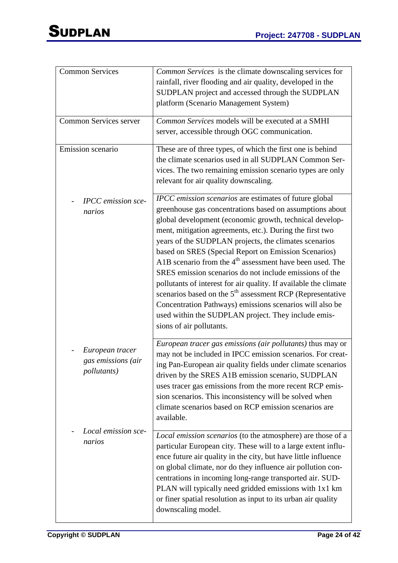| <b>Common Services</b>                                       | <i>Common Services</i> is the climate downscaling services for<br>rainfall, river flooding and air quality, developed in the<br>SUDPLAN project and accessed through the SUDPLAN<br>platform (Scenario Management System)                                                                                                                                                                                                                                                                                                                                                                                                                                                                                                                                                              |
|--------------------------------------------------------------|----------------------------------------------------------------------------------------------------------------------------------------------------------------------------------------------------------------------------------------------------------------------------------------------------------------------------------------------------------------------------------------------------------------------------------------------------------------------------------------------------------------------------------------------------------------------------------------------------------------------------------------------------------------------------------------------------------------------------------------------------------------------------------------|
| Common Services server                                       | Common Services models will be executed at a SMHI                                                                                                                                                                                                                                                                                                                                                                                                                                                                                                                                                                                                                                                                                                                                      |
|                                                              | server, accessible through OGC communication.                                                                                                                                                                                                                                                                                                                                                                                                                                                                                                                                                                                                                                                                                                                                          |
| Emission scenario                                            | These are of three types, of which the first one is behind<br>the climate scenarios used in all SUDPLAN Common Ser-<br>vices. The two remaining emission scenario types are only<br>relevant for air quality downscaling.                                                                                                                                                                                                                                                                                                                                                                                                                                                                                                                                                              |
| <b>IPCC</b> emission sce-<br>narios                          | <b>IPCC</b> emission scenarios are estimates of future global<br>greenhouse gas concentrations based on assumptions about<br>global development (economic growth, technical develop-<br>ment, mitigation agreements, etc.). During the first two<br>years of the SUDPLAN projects, the climates scenarios<br>based on SRES (Special Report on Emission Scenarios)<br>A1B scenario from the $4th$ assessment have been used. The<br>SRES emission scenarios do not include emissions of the<br>pollutants of interest for air quality. If available the climate<br>scenarios based on the 5 <sup>th</sup> assessment RCP (Representative<br>Concentration Pathways) emissions scenarios will also be<br>used within the SUDPLAN project. They include emis-<br>sions of air pollutants. |
| European tracer<br>gas emissions (air<br><i>pollutants</i> ) | European tracer gas emissions (air pollutants) thus may or<br>may not be included in IPCC emission scenarios. For creat-<br>ing Pan-European air quality fields under climate scenarios<br>driven by the SRES A1B emission scenario, SUDPLAN<br>uses tracer gas emissions from the more recent RCP emis-<br>sion scenarios. This inconsistency will be solved when<br>climate scenarios based on RCP emission scenarios are<br>available.                                                                                                                                                                                                                                                                                                                                              |
| Local emission sce-<br>narios                                | Local emission scenarios (to the atmosphere) are those of a<br>particular European city. These will to a large extent influ-<br>ence future air quality in the city, but have little influence<br>on global climate, nor do they influence air pollution con-<br>centrations in incoming long-range transported air. SUD-<br>PLAN will typically need gridded emissions with 1x1 km<br>or finer spatial resolution as input to its urban air quality<br>downscaling model.                                                                                                                                                                                                                                                                                                             |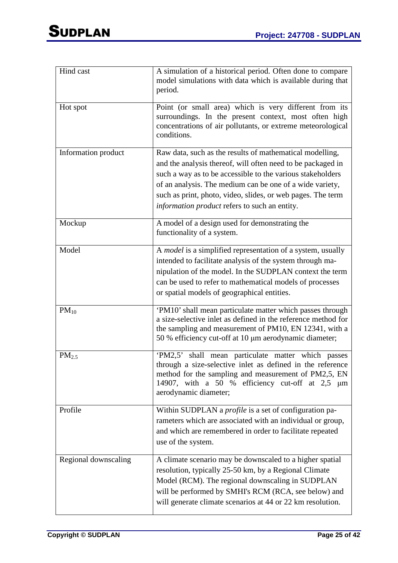| Hind cast            | A simulation of a historical period. Often done to compare<br>model simulations with data which is available during that<br>period.                                                                                                                                                                                                                               |
|----------------------|-------------------------------------------------------------------------------------------------------------------------------------------------------------------------------------------------------------------------------------------------------------------------------------------------------------------------------------------------------------------|
| Hot spot             | Point (or small area) which is very different from its<br>surroundings. In the present context, most often high<br>concentrations of air pollutants, or extreme meteorological<br>conditions.                                                                                                                                                                     |
| Information product  | Raw data, such as the results of mathematical modelling,<br>and the analysis thereof, will often need to be packaged in<br>such a way as to be accessible to the various stakeholders<br>of an analysis. The medium can be one of a wide variety,<br>such as print, photo, video, slides, or web pages. The term<br>information product refers to such an entity. |
| Mockup               | A model of a design used for demonstrating the<br>functionality of a system.                                                                                                                                                                                                                                                                                      |
| Model                | A model is a simplified representation of a system, usually<br>intended to facilitate analysis of the system through ma-<br>nipulation of the model. In the SUDPLAN context the term<br>can be used to refer to mathematical models of processes<br>or spatial models of geographical entities.                                                                   |
| $PM_{10}$            | 'PM10' shall mean particulate matter which passes through<br>a size-selective inlet as defined in the reference method for<br>the sampling and measurement of PM10, EN 12341, with a<br>50 % efficiency cut-off at 10 µm aerodynamic diameter;                                                                                                                    |
| $PM_{2.5}$           | shall mean particulate matter which passes<br>'PM2.5'<br>through a size-selective inlet as defined in the reference<br>method for the sampling and measurement of PM2,5, EN<br>14907, with a 50 % efficiency cut-off at $2.5 \mu m$<br>aerodynamic diameter;                                                                                                      |
| Profile              | Within SUDPLAN a <i>profile</i> is a set of configuration pa-<br>rameters which are associated with an individual or group,<br>and which are remembered in order to facilitate repeated<br>use of the system.                                                                                                                                                     |
| Regional downscaling | A climate scenario may be downscaled to a higher spatial<br>resolution, typically 25-50 km, by a Regional Climate<br>Model (RCM). The regional downscaling in SUDPLAN<br>will be performed by SMHI's RCM (RCA, see below) and<br>will generate climate scenarios at 44 or 22 km resolution.                                                                       |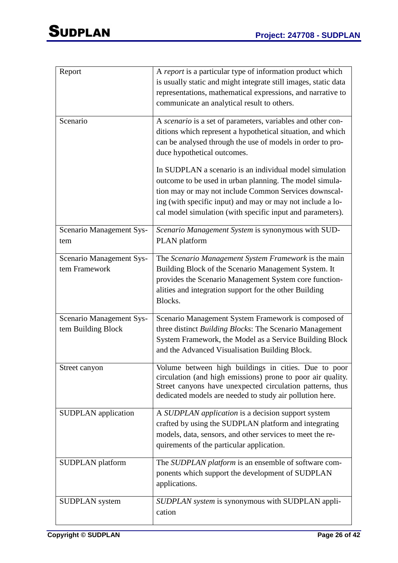| Report                                         | A report is a particular type of information product which<br>is usually static and might integrate still images, static data<br>representations, mathematical expressions, and narrative to<br>communicate an analytical result to others.                                                             |
|------------------------------------------------|---------------------------------------------------------------------------------------------------------------------------------------------------------------------------------------------------------------------------------------------------------------------------------------------------------|
| Scenario                                       | A scenario is a set of parameters, variables and other con-<br>ditions which represent a hypothetical situation, and which<br>can be analysed through the use of models in order to pro-<br>duce hypothetical outcomes.                                                                                 |
|                                                | In SUDPLAN a scenario is an individual model simulation<br>outcome to be used in urban planning. The model simula-<br>tion may or may not include Common Services downscal-<br>ing (with specific input) and may or may not include a lo-<br>cal model simulation (with specific input and parameters). |
| Scenario Management Sys-<br>tem                | Scenario Management System is synonymous with SUD-<br>PLAN platform                                                                                                                                                                                                                                     |
| Scenario Management Sys-<br>tem Framework      | The Scenario Management System Framework is the main<br>Building Block of the Scenario Management System. It<br>provides the Scenario Management System core function-<br>alities and integration support for the other Building<br>Blocks.                                                             |
| Scenario Management Sys-<br>tem Building Block | Scenario Management System Framework is composed of<br>three distinct Building Blocks: The Scenario Management<br>System Framework, the Model as a Service Building Block<br>and the Advanced Visualisation Building Block.                                                                             |
| Street canyon                                  | Volume between high buildings in cities. Due to poor<br>circulation (and high emissions) prone to poor air quality.<br>Street canyons have unexpected circulation patterns, thus<br>dedicated models are needed to study air pollution here.                                                            |
| <b>SUDPLAN</b> application                     | A SUDPLAN application is a decision support system<br>crafted by using the SUDPLAN platform and integrating<br>models, data, sensors, and other services to meet the re-<br>quirements of the particular application.                                                                                   |
| SUDPLAN platform                               | The SUDPLAN platform is an ensemble of software com-<br>ponents which support the development of SUDPLAN<br>applications.                                                                                                                                                                               |
| <b>SUDPLAN</b> system                          | SUDPLAN system is synonymous with SUDPLAN appli-<br>cation                                                                                                                                                                                                                                              |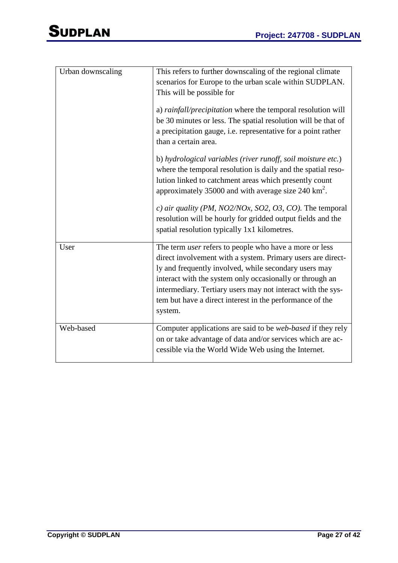| Urban downscaling | This refers to further downscaling of the regional climate<br>scenarios for Europe to the urban scale within SUDPLAN.<br>This will be possible for                                                                                                                                                                                                                                      |
|-------------------|-----------------------------------------------------------------------------------------------------------------------------------------------------------------------------------------------------------------------------------------------------------------------------------------------------------------------------------------------------------------------------------------|
|                   | a) rainfall/precipitation where the temporal resolution will<br>be 30 minutes or less. The spatial resolution will be that of<br>a precipitation gauge, i.e. representative for a point rather<br>than a certain area.                                                                                                                                                                  |
|                   | b) hydrological variables (river runoff, soil moisture etc.)<br>where the temporal resolution is daily and the spatial reso-<br>lution linked to catchment areas which presently count<br>approximately 35000 and with average size $240 \text{ km}^2$ .                                                                                                                                |
|                   | c) air quality (PM, NO2/NOx, SO2, O3, CO). The temporal<br>resolution will be hourly for gridded output fields and the<br>spatial resolution typically 1x1 kilometres.                                                                                                                                                                                                                  |
| User              | The term <i>user</i> refers to people who have a more or less<br>direct involvement with a system. Primary users are direct-<br>ly and frequently involved, while secondary users may<br>interact with the system only occasionally or through an<br>intermediary. Tertiary users may not interact with the sys-<br>tem but have a direct interest in the performance of the<br>system. |
| Web-based         | Computer applications are said to be <i>web-based</i> if they rely<br>on or take advantage of data and/or services which are ac-<br>cessible via the World Wide Web using the Internet.                                                                                                                                                                                                 |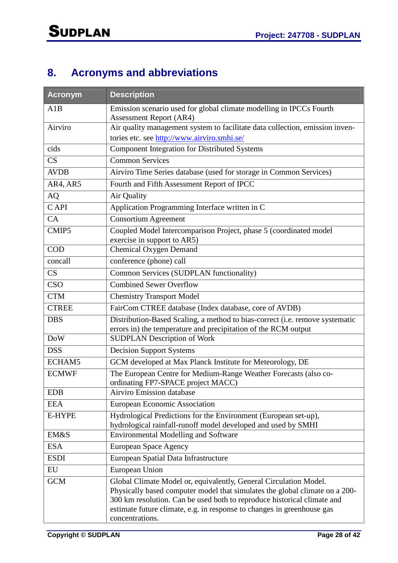# **8. Acronyms and abbreviations**

| <b>Acronym</b> | <b>Description</b>                                                                                                                                                                                                                                                                                                       |
|----------------|--------------------------------------------------------------------------------------------------------------------------------------------------------------------------------------------------------------------------------------------------------------------------------------------------------------------------|
| A1B            | Emission scenario used for global climate modelling in IPCCs Fourth<br><b>Assessment Report (AR4)</b>                                                                                                                                                                                                                    |
| Airviro        | Air quality management system to facilitate data collection, emission inven-                                                                                                                                                                                                                                             |
|                | tories etc. see http://www.airviro.smhi.se/                                                                                                                                                                                                                                                                              |
| cids           | <b>Component Integration for Distributed Systems</b>                                                                                                                                                                                                                                                                     |
| CS             | <b>Common Services</b>                                                                                                                                                                                                                                                                                                   |
| <b>AVDB</b>    | Airviro Time Series database (used for storage in Common Services)                                                                                                                                                                                                                                                       |
| AR4, AR5       | Fourth and Fifth Assessment Report of IPCC                                                                                                                                                                                                                                                                               |
| <b>AQ</b>      | Air Quality                                                                                                                                                                                                                                                                                                              |
| C API          | Application Programming Interface written in C                                                                                                                                                                                                                                                                           |
| CA             | <b>Consortium Agreement</b>                                                                                                                                                                                                                                                                                              |
| CMIP5          | Coupled Model Intercomparison Project, phase 5 (coordinated model<br>exercise in support to AR5)                                                                                                                                                                                                                         |
| <b>COD</b>     | <b>Chemical Oxygen Demand</b>                                                                                                                                                                                                                                                                                            |
| concall        | conference (phone) call                                                                                                                                                                                                                                                                                                  |
| CS             | Common Services (SUDPLAN functionality)                                                                                                                                                                                                                                                                                  |
| <b>CSO</b>     | <b>Combined Sewer Overflow</b>                                                                                                                                                                                                                                                                                           |
| <b>CTM</b>     | <b>Chemistry Transport Model</b>                                                                                                                                                                                                                                                                                         |
| <b>CTREE</b>   | FairCom CTREE database (Index database, core of AVDB)                                                                                                                                                                                                                                                                    |
| <b>DBS</b>     | Distribution-Based Scaling, a method to bias-correct (i.e. remove systematic                                                                                                                                                                                                                                             |
|                | errors in) the temperature and precipitation of the RCM output                                                                                                                                                                                                                                                           |
| <b>DoW</b>     | <b>SUDPLAN Description of Work</b>                                                                                                                                                                                                                                                                                       |
| <b>DSS</b>     | <b>Decision Support Systems</b>                                                                                                                                                                                                                                                                                          |
| ECHAM5         | GCM developed at Max Planck Institute for Meteorology, DE                                                                                                                                                                                                                                                                |
| <b>ECMWF</b>   | The European Centre for Medium-Range Weather Forecasts (also co-<br>ordinating FP7-SPACE project MACC)                                                                                                                                                                                                                   |
| <b>EDB</b>     | Airviro Emission database                                                                                                                                                                                                                                                                                                |
| <b>EEA</b>     | <b>European Economic Association</b>                                                                                                                                                                                                                                                                                     |
| E-HYPE         | Hydrological Predictions for the Environment (European set-up),<br>hydrological rainfall-runoff model developed and used by SMHI                                                                                                                                                                                         |
| EM&S           | <b>Environmental Modelling and Software</b>                                                                                                                                                                                                                                                                              |
| <b>ESA</b>     | European Space Agency                                                                                                                                                                                                                                                                                                    |
| <b>ESDI</b>    | European Spatial Data Infrastructure                                                                                                                                                                                                                                                                                     |
| EU             | European Union                                                                                                                                                                                                                                                                                                           |
| <b>GCM</b>     | Global Climate Model or, equivalently, General Circulation Model.<br>Physically based computer model that simulates the global climate on a 200-<br>300 km resolution. Can be used both to reproduce historical climate and<br>estimate future climate, e.g. in response to changes in greenhouse gas<br>concentrations. |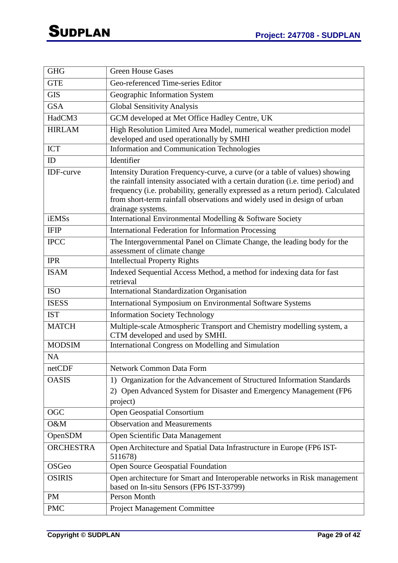| <b>GHG</b>       | <b>Green House Gases</b>                                                                                                                                                                                                                                                                                                                            |
|------------------|-----------------------------------------------------------------------------------------------------------------------------------------------------------------------------------------------------------------------------------------------------------------------------------------------------------------------------------------------------|
| <b>GTE</b>       | Geo-referenced Time-series Editor                                                                                                                                                                                                                                                                                                                   |
| <b>GIS</b>       | Geographic Information System                                                                                                                                                                                                                                                                                                                       |
| <b>GSA</b>       | <b>Global Sensitivity Analysis</b>                                                                                                                                                                                                                                                                                                                  |
| HadCM3           | GCM developed at Met Office Hadley Centre, UK                                                                                                                                                                                                                                                                                                       |
| <b>HIRLAM</b>    | High Resolution Limited Area Model, numerical weather prediction model<br>developed and used operationally by SMHI                                                                                                                                                                                                                                  |
| <b>ICT</b>       | <b>Information and Communication Technologies</b>                                                                                                                                                                                                                                                                                                   |
| ID               | Identifier                                                                                                                                                                                                                                                                                                                                          |
| IDF-curve        | Intensity Duration Frequency-curve, a curve (or a table of values) showing<br>the rainfall intensity associated with a certain duration (i.e. time period) and<br>frequency (i.e. probability, generally expressed as a return period). Calculated<br>from short-term rainfall observations and widely used in design of urban<br>drainage systems. |
| <b>iEMSs</b>     | International Environmental Modelling & Software Society                                                                                                                                                                                                                                                                                            |
| <b>IFIP</b>      | <b>International Federation for Information Processing</b>                                                                                                                                                                                                                                                                                          |
| <b>IPCC</b>      | The Intergovernmental Panel on Climate Change, the leading body for the<br>assessment of climate change                                                                                                                                                                                                                                             |
| <b>IPR</b>       | <b>Intellectual Property Rights</b>                                                                                                                                                                                                                                                                                                                 |
| <b>ISAM</b>      | Indexed Sequential Access Method, a method for indexing data for fast<br>retrieval                                                                                                                                                                                                                                                                  |
| <b>ISO</b>       | International Standardization Organisation                                                                                                                                                                                                                                                                                                          |
| <b>ISESS</b>     | International Symposium on Environmental Software Systems                                                                                                                                                                                                                                                                                           |
| <b>IST</b>       | <b>Information Society Technology</b>                                                                                                                                                                                                                                                                                                               |
| <b>MATCH</b>     | Multiple-scale Atmospheric Transport and Chemistry modelling system, a<br>CTM developed and used by SMHI.                                                                                                                                                                                                                                           |
| <b>MODSIM</b>    | International Congress on Modelling and Simulation                                                                                                                                                                                                                                                                                                  |
| <b>NA</b>        |                                                                                                                                                                                                                                                                                                                                                     |
| netCDF           | Network Common Data Form                                                                                                                                                                                                                                                                                                                            |
| <b>OASIS</b>     | Organization for the Advancement of Structured Information Standards<br>1)<br>2) Open Advanced System for Disaster and Emergency Management (FP6<br>project)                                                                                                                                                                                        |
| <b>OGC</b>       | <b>Open Geospatial Consortium</b>                                                                                                                                                                                                                                                                                                                   |
| O&M              | <b>Observation and Measurements</b>                                                                                                                                                                                                                                                                                                                 |
| OpenSDM          | Open Scientific Data Management                                                                                                                                                                                                                                                                                                                     |
| <b>ORCHESTRA</b> | Open Architecture and Spatial Data Infrastructure in Europe (FP6 IST-<br>511678)                                                                                                                                                                                                                                                                    |
| <b>OSGeo</b>     | Open Source Geospatial Foundation                                                                                                                                                                                                                                                                                                                   |
| <b>OSIRIS</b>    | Open architecture for Smart and Interoperable networks in Risk management<br>based on In-situ Sensors (FP6 IST-33799)                                                                                                                                                                                                                               |
| <b>PM</b>        | Person Month                                                                                                                                                                                                                                                                                                                                        |
| <b>PMC</b>       | <b>Project Management Committee</b>                                                                                                                                                                                                                                                                                                                 |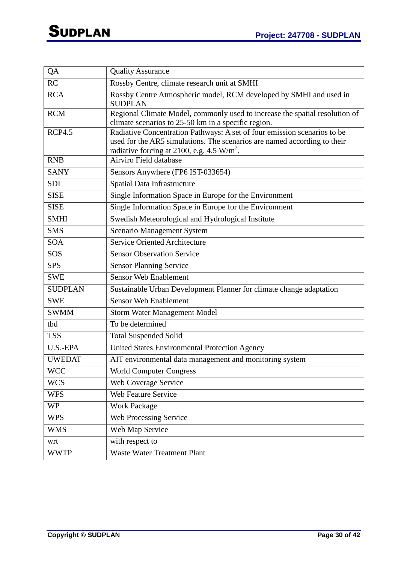| QA             | <b>Quality Assurance</b>                                                                                                 |
|----------------|--------------------------------------------------------------------------------------------------------------------------|
| RC             | Rossby Centre, climate research unit at SMHI                                                                             |
| <b>RCA</b>     | Rossby Centre Atmospheric model, RCM developed by SMHI and used in<br><b>SUDPLAN</b>                                     |
| <b>RCM</b>     | Regional Climate Model, commonly used to increase the spatial resolution of                                              |
|                | climate scenarios to 25-50 km in a specific region.                                                                      |
| <b>RCP4.5</b>  | Radiative Concentration Pathways: A set of four emission scenarios to be                                                 |
|                | used for the AR5 simulations. The scenarios are named according to their<br>radiative forcing at 2100, e.g. 4.5 $W/m2$ . |
| <b>RNB</b>     | Airviro Field database                                                                                                   |
| <b>SANY</b>    | Sensors Anywhere (FP6 IST-033654)                                                                                        |
| <b>SDI</b>     | Spatial Data Infrastructure                                                                                              |
| <b>SISE</b>    | Single Information Space in Europe for the Environment                                                                   |
| <b>SISE</b>    | Single Information Space in Europe for the Environment                                                                   |
| <b>SMHI</b>    | Swedish Meteorological and Hydrological Institute                                                                        |
| <b>SMS</b>     | <b>Scenario Management System</b>                                                                                        |
| <b>SOA</b>     | <b>Service Oriented Architecture</b>                                                                                     |
| SOS            | <b>Sensor Observation Service</b>                                                                                        |
| <b>SPS</b>     | <b>Sensor Planning Service</b>                                                                                           |
| <b>SWE</b>     | <b>Sensor Web Enablement</b>                                                                                             |
| <b>SUDPLAN</b> | Sustainable Urban Development Planner for climate change adaptation                                                      |
| <b>SWE</b>     | <b>Sensor Web Enablement</b>                                                                                             |
| <b>SWMM</b>    | <b>Storm Water Management Model</b>                                                                                      |
| tbd            | To be determined                                                                                                         |
| <b>TSS</b>     | <b>Total Suspended Solid</b>                                                                                             |
| U.S.-EPA       | United States Environmental Protection Agency                                                                            |
| <b>UWEDAT</b>  | AIT environmental data management and monitoring system                                                                  |
| <b>WCC</b>     | <b>World Computer Congress</b>                                                                                           |
| <b>WCS</b>     | Web Coverage Service                                                                                                     |
| <b>WFS</b>     | Web Feature Service                                                                                                      |
| <b>WP</b>      | <b>Work Package</b>                                                                                                      |
| <b>WPS</b>     | Web Processing Service                                                                                                   |
| <b>WMS</b>     | Web Map Service                                                                                                          |
| wrt            | with respect to                                                                                                          |
| <b>WWTP</b>    | <b>Waste Water Treatment Plant</b>                                                                                       |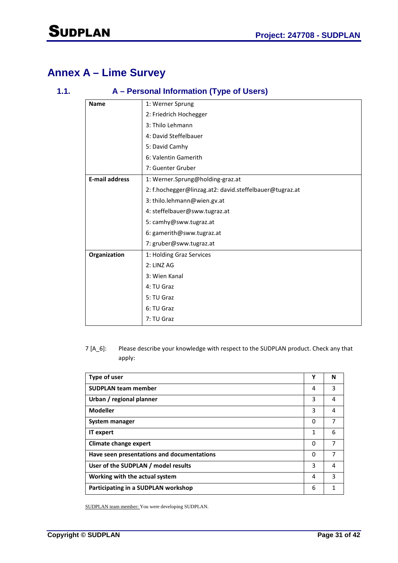## **Annex A – Lime Survey**

### **1.1. A – Personal Information (Type of Users)**

| <b>Name</b>           | 1: Werner Sprung                                        |
|-----------------------|---------------------------------------------------------|
|                       | 2: Friedrich Hochegger                                  |
|                       | 3: Thilo Lehmann                                        |
|                       | 4: David Steffelbauer                                   |
|                       | 5: David Camhy                                          |
|                       | 6: Valentin Gamerith                                    |
|                       | 7: Guenter Gruber                                       |
| <b>E-mail address</b> | 1: Werner.Sprung@holding-graz.at                        |
|                       | 2: f.hochegger@linzag.at2: david.steffelbauer@tugraz.at |
|                       | 3: thilo.lehmann@wien.gv.at                             |
|                       | 4: steffelbauer@sww.tugraz.at                           |
|                       | 5: camhy@sww.tugraz.at                                  |
|                       | 6: gamerith@sww.tugraz.at                               |
|                       | 7: gruber@sww.tugraz.at                                 |
| Organization          | 1: Holding Graz Services                                |
|                       | 2: LINZ AG                                              |
|                       | 3: Wien Kanal                                           |
|                       | 4: TU Graz                                              |
|                       | 5: TU Graz                                              |
|                       | 6: TU Graz                                              |
|                       | 7: TU Graz                                              |

### 7 [A\_6]: Please describe your knowledge with respect to the SUDPLAN product. Check any that apply:

| Type of user                               | Υ | N |
|--------------------------------------------|---|---|
| <b>SUDPLAN team member</b>                 | 4 | 3 |
| Urban / regional planner                   | 3 | 4 |
| <b>Modeller</b>                            | 3 | 4 |
| System manager                             | 0 | 7 |
| <b>IT</b> expert                           | 1 | 6 |
| <b>Climate change expert</b>               | 0 | 7 |
| Have seen presentations and documentations | 0 | 7 |
| User of the SUDPLAN / model results        | 3 | 4 |
| Working with the actual system             | 4 | 3 |
| Participating in a SUDPLAN workshop        | 6 |   |

SUDPLAN team member: You were developing SUDPLAN.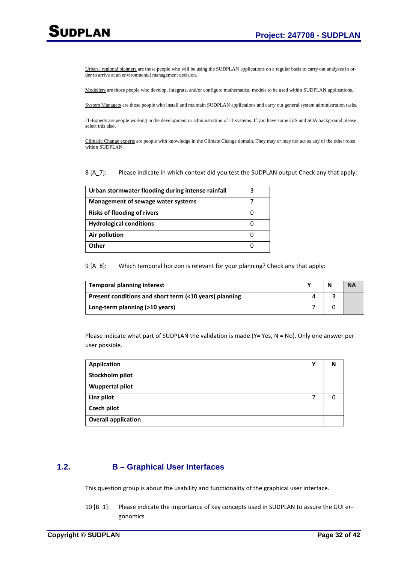Urban / regional planners are those people who will be using the SUDPLAN applications on a regular basis to carry out analyses in order to arrive at an environmental management decision.

Modellers are those people who develop, integrate, and/or configure mathematical models to be used within SUDPLAN applications.

System Managers are those people who install and maintain SUDPLAN applications and carry out general system administration tasks.

IT-Experts are people working in the development or administration of IT systems. If you have some GIS and SOA background please select this also.

Climatic Change experts are people with knowledge in the Climate Change domain. They may or may not act as any of the other roles within SUDPLAN.

#### 8 [A\_7]: Please indicate in which context did you test the SUDPLAN output Check any that apply:

| Urban stormwater flooding during intense rainfall |  |
|---------------------------------------------------|--|
| Management of sewage water systems                |  |
| <b>Risks of flooding of rivers</b>                |  |
| <b>Hydrological conditions</b>                    |  |
| Air pollution                                     |  |
| Other                                             |  |

9 [A\_8]: Which temporal horizon is relevant for your planning? Check any that apply:

| <b>Temporal planning interest</b>                      |  | <b>NA</b> |
|--------------------------------------------------------|--|-----------|
| Present conditions and short term (<10 years) planning |  |           |
| Long-term planning (>10 years)                         |  |           |

Please indicate what part of SUDPLAN the validation is made (Y= Yes, N = No). Only one answer per user possible.

| <b>Application</b>         | v | N |
|----------------------------|---|---|
| Stockholm pilot            |   |   |
| <b>Wuppertal pilot</b>     |   |   |
| Linz pilot                 |   | ŋ |
| Czech pilot                |   |   |
| <b>Overall application</b> |   |   |

### **1.2. B – Graphical User Interfaces**

This question group is about the usability and functionality of the graphical user interface.

10 [B\_1]: Please indicate the importance of key concepts used in SUDPLAN to assure the GUI ergonomics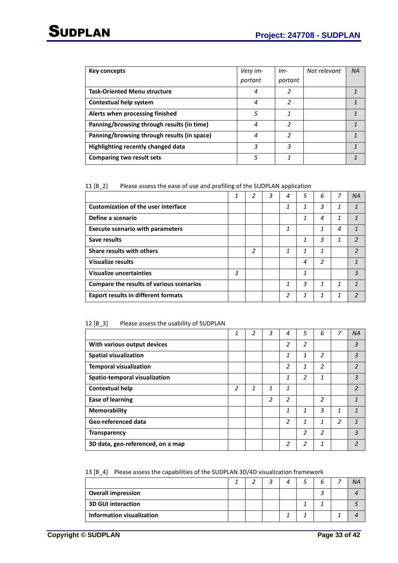| Key concepts                                | Very im- | $Im-$                    | Not relevant | <b>NA</b> |
|---------------------------------------------|----------|--------------------------|--------------|-----------|
|                                             | portant  | portant                  |              |           |
| <b>Task-Oriented Menu structure</b>         | 4        | $\overline{\mathcal{L}}$ |              |           |
| Contextual help system                      | 4        | $\overline{\mathcal{L}}$ |              |           |
| Alerts when processing finished             | 5        | 1                        |              |           |
| Panning/browsing through results (in time)  | 4        | $\overline{\mathcal{L}}$ |              |           |
| Panning/browsing through results (in space) | 4        | 2                        |              |           |
| Highlighting recently changed data          | 3        | 3                        |              |           |
| Comparing two result sets                   | 5        | 1                        |              |           |

#### 11 [B\_2] Please assess the ease of use and profiling of the SUDPLAN application

|                                            | 1 | 2              | 3 | 4 | 5 | 6 | 7 | <b>NA</b>                |
|--------------------------------------------|---|----------------|---|---|---|---|---|--------------------------|
| <b>Customization of the user interface</b> |   |                |   | 1 | 1 | 3 | 1 | 1                        |
| Define a scenario                          |   |                |   |   | 1 | 4 | 1 |                          |
| <b>Execute scenario with parameters</b>    |   |                |   | 1 |   | 1 | 4 | 1                        |
| Save results                               |   |                |   |   | 1 | 3 | 1 | $\mathcal{P}$            |
| Share results with others                  |   | $\overline{2}$ |   | 1 | 1 | 1 |   | $\mathfrak z$            |
| <b>Visualize results</b>                   |   |                |   |   | 4 | 2 |   |                          |
| Visualize uncertainties                    | 3 |                |   |   | 1 |   |   | 3                        |
| Compare the results of various scenarios   |   |                |   | 1 | 3 | 1 | 1 | $\mathbf{\overline{1}}$  |
| <b>Export results in different formats</b> |   |                |   | 2 | 1 | 1 | 1 | $\overline{\phantom{a}}$ |

#### 12 [B\_3] Please assess the usability of SUDPLAN

|                                   | 1 | $\overline{2}$ | 3              | 4              | 5              | 6              | 7 | <b>NA</b>                |
|-----------------------------------|---|----------------|----------------|----------------|----------------|----------------|---|--------------------------|
| With various output devices       |   |                |                | 2              | $\overline{2}$ |                |   | 3                        |
| <b>Spatial visualization</b>      |   |                |                | 1              | 1              | $\overline{2}$ |   | 3                        |
| <b>Temporal visualization</b>     |   |                |                | 2              | 1              | $\overline{2}$ |   | $\overline{\mathcal{L}}$ |
| Spatio-temporal visualization     |   |                |                | 1              | 2              | 1              |   | 3                        |
| <b>Contextual help</b>            | 2 | 1              | 1              | 1              |                |                |   | $\overline{\phantom{a}}$ |
| <b>Ease of learning</b>           |   |                | $\overline{c}$ | 2              |                | 2              |   | 1                        |
| <b>Memorability</b>               |   |                |                | 1              | 1              | 3              | 1 | 1                        |
| Geo-referenced data               |   |                |                | $\overline{2}$ | 1              | 1              | 2 | $\mathbf{1}$             |
| <b>Transparency</b>               |   |                |                |                | 2              | 2              |   | 3                        |
| 3D data, geo-referenced, on a map |   |                |                | 2              | 2              | 1              |   | 2                        |

|  | 13 [B_4] Please assess the capabilities of the SUDPLAN 3D/4D visualization framework |
|--|--------------------------------------------------------------------------------------|
|--|--------------------------------------------------------------------------------------|

|                           |  | 2 | 4 |  | <b>NA</b> |
|---------------------------|--|---|---|--|-----------|
| <b>Overall impression</b> |  |   |   |  |           |
| <b>3D GUI interaction</b> |  |   |   |  |           |
| Information visualization |  |   |   |  |           |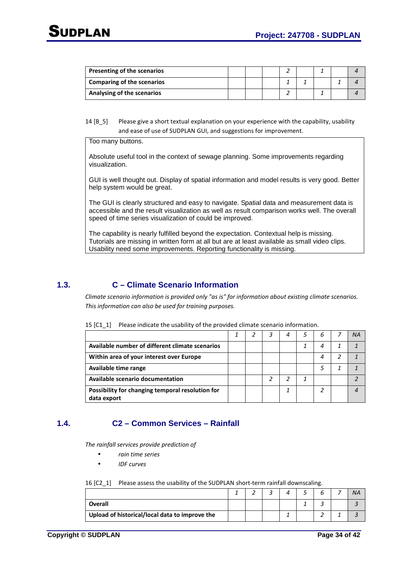| Presenting of the scenarios |  |  |  |  |
|-----------------------------|--|--|--|--|
| Comparing of the scenarios  |  |  |  |  |
| Analysing of the scenarios  |  |  |  |  |

14 [B 5] Please give a short textual explanation on your experience with the capability, usability and ease of use of SUDPLAN GUI, and suggestions for improvement.

Too many buttons.

Absolute useful tool in the context of sewage planning. Some improvements regarding visualization.

GUI is well thought out. Display of spatial information and model results is very good. Better help system would be great.

The GUI is clearly structured and easy to navigate. Spatial data and measurement data is accessible and the result visualization as well as result comparison works well. The overall speed of time series visualization of could be improved.

The capability is nearly fulfilled beyond the expectation. Contextual help is missing. Tutorials are missing in written form at all but are at least available as small video clips. Usability need some improvements. Reporting functionality is missing.

### **1.3. C – Climate Scenario Information**

*Climate scenario information is provided only "as is" for information about existing climate scenarios. This information can also be used for training purposes.* 

| 15 [C1_1] Please indicate the usability of the provided climate scenario information. |  |
|---------------------------------------------------------------------------------------|--|
|---------------------------------------------------------------------------------------|--|

|                                                  |  |  |   | ΝA |
|--------------------------------------------------|--|--|---|----|
| Available number of different climate scenarios  |  |  |   |    |
| Within area of your interest over Europe         |  |  | 4 |    |
| Available time range                             |  |  |   |    |
| Available scenario documentation                 |  |  |   |    |
| Possibility for changing temporal resolution for |  |  |   |    |
| data export                                      |  |  |   |    |

### **1.4. C2 – Common Services – Rainfall**

*The rainfall services provide prediction of* 

- *rain time series*
- *IDF curves*

16 [C2\_1] Please assess the usability of the SUDPLAN short-term rainfall downscaling.

|                                                |  | ∽ |  |  | ΝA |
|------------------------------------------------|--|---|--|--|----|
| <b>Overall</b>                                 |  |   |  |  |    |
| Upload of historical/local data to improve the |  |   |  |  |    |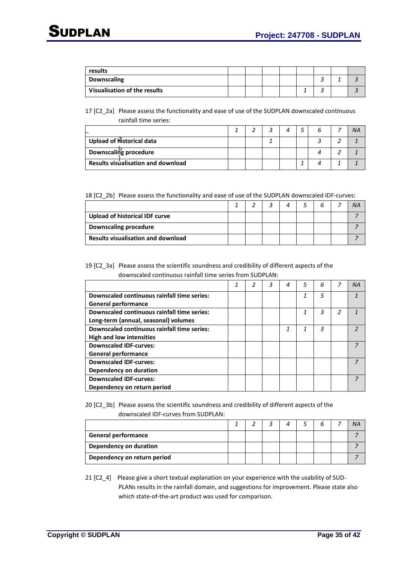| results                      |  |  |  |  |
|------------------------------|--|--|--|--|
| <b>Downscaling</b>           |  |  |  |  |
| Visualisation of the results |  |  |  |  |

17 [C2\_2a] Please assess the functionality and ease of use of the SUDPLAN downscaled continuous rainfall time series:

| Upload of Historical data                 |  |  |  |  |
|-------------------------------------------|--|--|--|--|
| Downscaling procedure                     |  |  |  |  |
| <b>Results visualisation and download</b> |  |  |  |  |

#### 18 [C2\_2b] Please assess the functionality and ease of use of the SUDPLAN downscaled IDF-curves:

| Upload of historical IDF curve            |  |  |  |  |
|-------------------------------------------|--|--|--|--|
| <b>Downscaling procedure</b>              |  |  |  |  |
| <b>Results visualisation and download</b> |  |  |  |  |

#### 19 [C2\_3a] Please assess the scientific soundness and credibility of different aspects of the downscaled continuous rainfall time series from SUDPLAN:

|                                             | 1 | 3 | 4 | 5 | 6 |   | <b>NA</b> |
|---------------------------------------------|---|---|---|---|---|---|-----------|
| Downscaled continuous rainfall time series: |   |   |   | 1 | 5 |   |           |
| <b>General performance</b>                  |   |   |   |   |   |   |           |
| Downscaled continuous rainfall time series: |   |   |   | 1 | 3 | 2 |           |
| Long-term (annual, seasonal) volumes        |   |   |   |   |   |   |           |
| Downscaled continuous rainfall time series: |   |   | 1 |   | 3 |   | ∍         |
| <b>High and low intensities</b>             |   |   |   |   |   |   |           |
| <b>Downscaled IDF-curves:</b>               |   |   |   |   |   |   |           |
| <b>General performance</b>                  |   |   |   |   |   |   |           |
| <b>Downscaled IDF-curves:</b>               |   |   |   |   |   |   |           |
| Dependency on duration                      |   |   |   |   |   |   |           |
| <b>Downscaled IDF-curves:</b>               |   |   |   |   |   |   |           |
| Dependency on return period                 |   |   |   |   |   |   |           |

20 [C2\_3b] Please assess the scientific soundness and credibility of different aspects of the downscaled IDF-curves from SUDPLAN:

|                             |  | 2 | 4 |  | <b>NA</b> |
|-----------------------------|--|---|---|--|-----------|
| <b>General performance</b>  |  |   |   |  |           |
| Dependency on duration      |  |   |   |  |           |
| Dependency on return period |  |   |   |  |           |

21 [C2\_4] Please give a short textual explanation on your experience with the usability of SUD-PLANs results in the rainfall domain, and suggestions for improvement. Please state also which state-of-the-art product was used for comparison.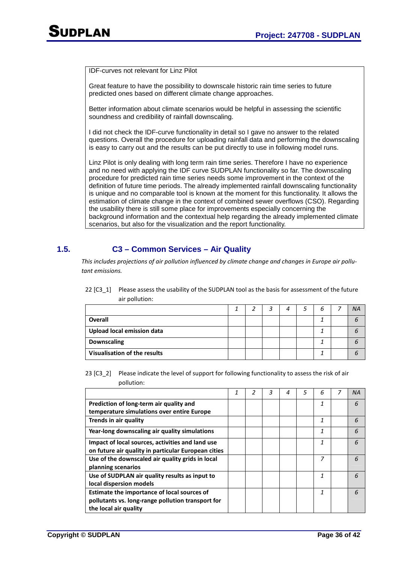IDF-curves not relevant for Linz Pilot

Great feature to have the possibility to downscale historic rain time series to future predicted ones based on different climate change approaches.

Better information about climate scenarios would be helpful in assessing the scientific soundness and credibility of rainfall downscaling.

I did not check the IDF-curve functionality in detail so I gave no answer to the related questions. Overall the procedure for uploading rainfall data and performing the downscaling is easy to carry out and the results can be put directly to use in following model runs.

Linz Pilot is only dealing with long term rain time series. Therefore I have no experience and no need with applying the IDF curve SUDPLAN functionality so far. The downscaling procedure for predicted rain time series needs some improvement in the context of the definition of future time periods. The already implemented rainfall downscaling functionality is unique and no comparable tool is known at the moment for this functionality. It allows the estimation of climate change in the context of combined sewer overflows (CSO). Regarding the usability there is still some place for improvements especially concerning the background information and the contextual help regarding the already implemented climate scenarios, but also for the visualization and the report functionality.

### **1.5. C3 – Common Services – Air Quality**

*This includes projections of air pollution influenced by climate change and changes in Europe air pollutant emissions.* 

| all politicion.                   |  |   |   |           |
|-----------------------------------|--|---|---|-----------|
|                                   |  | 4 | h | <b>NA</b> |
| <b>Overall</b>                    |  |   |   |           |
| <b>Upload local emission data</b> |  |   |   |           |
| <b>Downscaling</b>                |  |   |   |           |
| Visualisation of the results      |  |   |   |           |

22 [C3\_1] Please assess the usability of the SUDPLAN tool as the basis for assessment of the future air pollution:

#### 23 [C3-2] Please indicate the level of support for following functionality to assess the risk of air pollution:

|                                                     | 1 | 2 | 3 | 4 | 5 | 6 | 7 | ΝA |
|-----------------------------------------------------|---|---|---|---|---|---|---|----|
| Prediction of long-term air quality and             |   |   |   |   |   | 1 |   | 6  |
| temperature simulations over entire Europe          |   |   |   |   |   |   |   |    |
| Trends in air quality                               |   |   |   |   |   | 1 |   | 6  |
| Year-long downscaling air quality simulations       |   |   |   |   |   | 1 |   | 6  |
| Impact of local sources, activities and land use    |   |   |   |   |   | 1 |   | 6  |
| on future air quality in particular European cities |   |   |   |   |   |   |   |    |
| Use of the downscaled air quality grids in local    |   |   |   |   |   | 7 |   | 6  |
| planning scenarios                                  |   |   |   |   |   |   |   |    |
| Use of SUDPLAN air quality results as input to      |   |   |   |   |   | 1 |   | 6  |
| local dispersion models                             |   |   |   |   |   |   |   |    |
| Estimate the importance of local sources of         |   |   |   |   |   | 1 |   | 6  |
| pollutants vs. long-range pollution transport for   |   |   |   |   |   |   |   |    |
| the local air quality                               |   |   |   |   |   |   |   |    |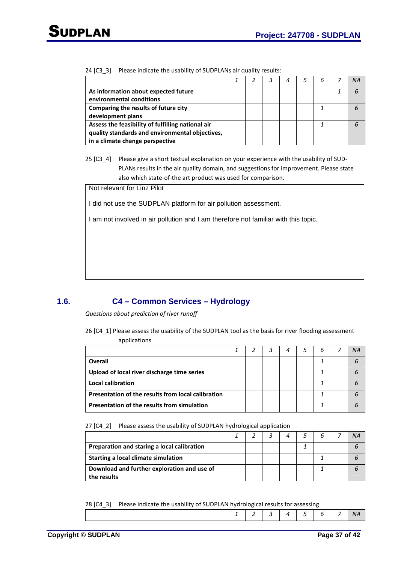| 24 [C3_3] Please indicate the usability of SUDPLANs air quality results: |  |
|--------------------------------------------------------------------------|--|

|                                                   |  | 4 | 5 | 6 | ΝA |
|---------------------------------------------------|--|---|---|---|----|
| As information about expected future              |  |   |   |   |    |
| environmental conditions                          |  |   |   |   |    |
| Comparing the results of future city              |  |   |   |   |    |
| development plans                                 |  |   |   |   |    |
| Assess the feasibility of fulfilling national air |  |   |   |   |    |
| quality standards and environmental objectives,   |  |   |   |   |    |
| in a climate change perspective                   |  |   |   |   |    |

25 [C3 4] Please give a short textual explanation on your experience with the usability of SUD-PLANs results in the air quality domain, and suggestions for improvement. Please state also which state-of-the art product was used for comparison.

Not relevant for Linz Pilot

I did not use the SUDPLAN platform for air pollution assessment.

I am not involved in air pollution and I am therefore not familiar with this topic.

### **1.6. C4 – Common Services – Hydrology**

*Questions about prediction of river runoff* 

26 [C4\_1] Please assess the usability of the SUDPLAN tool as the basis for river flooding assessment applications

|                                                    |  | 4 | 6 | ΝA |
|----------------------------------------------------|--|---|---|----|
| Overall                                            |  |   |   |    |
| Upload of local river discharge time series        |  |   |   |    |
| Local calibration                                  |  |   |   |    |
| Presentation of the results from local calibration |  |   |   |    |
| Presentation of the results from simulation        |  |   |   |    |

27 [C4\_2] Please assess the usability of SUDPLAN hydrological application

|                                                            |  |  |  | ΝA |
|------------------------------------------------------------|--|--|--|----|
| Preparation and staring a local calibration                |  |  |  |    |
| Starting a local climate simulation                        |  |  |  |    |
| Download and further exploration and use of<br>the results |  |  |  |    |

28 [C4\_3] Please indicate the usability of SUDPLAN hydrological results for assessing

|--|--|--|--|--|--|--|--|--|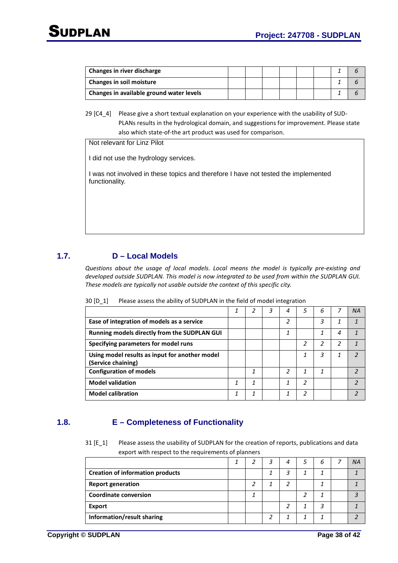| Changes in river discharge               |  |  |  |  |
|------------------------------------------|--|--|--|--|
| <b>Changes in soil moisture</b>          |  |  |  |  |
| Changes in available ground water levels |  |  |  |  |

29 [C4\_4] Please give a short textual explanation on your experience with the usability of SUD-PLANs results in the hydrological domain, and suggestions for improvement. Please state also which state-of-the art product was used for comparison.

Not relevant for Linz Pilot

I did not use the hydrology services.

I was not involved in these topics and therefore I have not tested the implemented functionality.

### **1.7. D – Local Models**

*Questions about the usage of local models. Local means the model is typically pre-existing and developed outside SUDPLAN. This model is now integrated to be used from within the SUDPLAN GUI. These models are typically not usable outside the context of this specific city.* 

| 30 [D_1] | Please assess the ability of SUDPLAN in the field of model integration |  |  |
|----------|------------------------------------------------------------------------|--|--|
|          |                                                                        |  |  |

|                                                     | ┸ |   | 3 | 4             | 5 | 6 |   | ΝA |
|-----------------------------------------------------|---|---|---|---------------|---|---|---|----|
| Ease of integration of models as a service          |   |   |   | 2             |   | 3 |   |    |
| <b>Running models directly from the SUDPLAN GUI</b> |   |   |   | 1             |   | 1 | 4 |    |
| Specifying parameters for model runs                |   |   |   |               | 2 |   | 2 |    |
| Using model results as input for another model      |   |   |   |               |   | 3 |   |    |
| (Service chaining)                                  |   |   |   |               |   |   |   |    |
| <b>Configuration of models</b>                      |   | 1 |   | $\mathcal{P}$ |   |   |   |    |
| <b>Model validation</b>                             | 1 | 1 |   | 1             | 2 |   |   | າ  |
| <b>Model calibration</b>                            |   | 1 |   | 1             | 2 |   |   |    |

### **1.8. E – Completeness of Functionality**

31 [E 1] Please assess the usability of SUDPLAN for the creation of reports, publications and data export with respect to the requirements of planners

|                                         |  | 3 | 4 | ь |  |
|-----------------------------------------|--|---|---|---|--|
| <b>Creation of information products</b> |  | 1 | 3 |   |  |
| <b>Report generation</b>                |  |   | っ |   |  |
| <b>Coordinate conversion</b>            |  |   |   |   |  |
| <b>Export</b>                           |  |   |   |   |  |
| Information/result sharing              |  |   |   |   |  |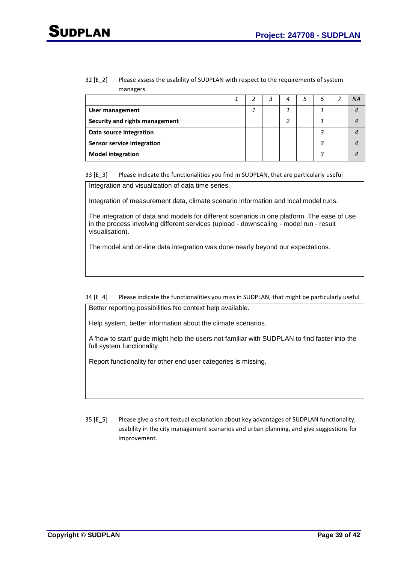#### 32 [E\_2] Please assess the usability of SUDPLAN with respect to the requirements of system managers

|                                   |  | 4 | 6 | <b>NA</b> |
|-----------------------------------|--|---|---|-----------|
| User management                   |  |   |   |           |
| Security and rights management    |  |   |   |           |
| Data source integration           |  |   | 2 |           |
| <b>Sensor service integration</b> |  |   |   |           |
| <b>Model integration</b>          |  |   | 2 |           |

33 [E\_3] Please indicate the functionalities you find in SUDPLAN, that are particularly useful

Integration and visualization of data time series.

Integration of measurement data, climate scenario information and local model runs.

The integration of data and models for different scenarios in one platform The ease of use in the process involving different services (upload - downscaling - model run - result visualisation).

The model and on-line data integration was done nearly beyond our expectations.

34 [E\_4] Please indicate the functionalities you miss in SUDPLAN, that might be particularly useful Better reporting possibilities No context help available.

Help system, better information about the climate scenarios.

A 'how to start' guide might help the users not familiar with SUDPLAN to find faster into the full system functionality.

Report functionality for other end user categories is missing.

35 [E\_5] Please give a short textual explanation about key advantages of SUDPLAN functionality, usability in the city management scenarios and urban planning, and give suggestions for improvement.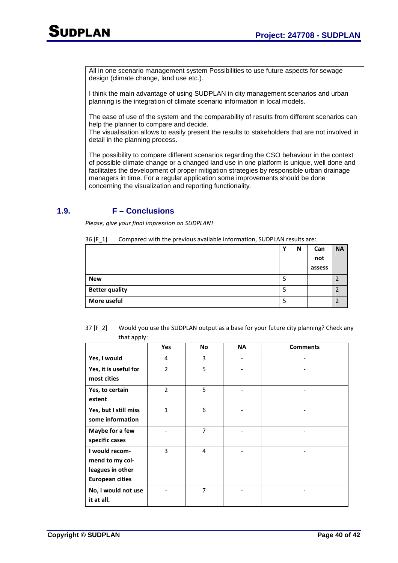All in one scenario management system Possibilities to use future aspects for sewage design (climate change, land use etc.).

I think the main advantage of using SUDPLAN in city management scenarios and urban planning is the integration of climate scenario information in local models.

The ease of use of the system and the comparability of results from different scenarios can help the planner to compare and decide.

The visualisation allows to easily present the results to stakeholders that are not involved in detail in the planning process.

The possibility to compare different scenarios regarding the CSO behaviour in the context of possible climate change or a changed land use in one platform is unique, well done and facilitates the development of proper mitigation strategies by responsible urban drainage managers in time. For a regular application some improvements should be done concerning the visualization and reporting functionality.

### **1.9. F – Conclusions**

*Please, give your final impression on SUDPLAN!* 

|                       | v | N | Can    | <b>NA</b> |
|-----------------------|---|---|--------|-----------|
|                       |   |   | not    |           |
|                       |   |   | assess |           |
| <b>New</b>            | 5 |   |        |           |
| <b>Better quality</b> | 5 |   |        |           |
| More useful           | 5 |   |        | C.        |

| $36 [F_1]$ | Compared with the previous available information, SUDPLAN results are: |  |  |  |
|------------|------------------------------------------------------------------------|--|--|--|
|------------|------------------------------------------------------------------------|--|--|--|

| 37 [F 2] | Would you use the SUDPLAN output as a base for your future city planning? Check any |
|----------|-------------------------------------------------------------------------------------|
|          | that apply:                                                                         |

|                        | Yes            | <b>No</b>      | <b>NA</b> | <b>Comments</b> |
|------------------------|----------------|----------------|-----------|-----------------|
| Yes, I would           | 4              | 3              |           |                 |
| Yes, it is useful for  | $\overline{2}$ | 5              |           |                 |
| most cities            |                |                |           |                 |
| Yes, to certain        | $\overline{2}$ | 5              |           |                 |
| extent                 |                |                |           |                 |
| Yes, but I still miss  | 1              | 6              |           |                 |
| some information       |                |                |           |                 |
| Maybe for a few        |                | $\overline{7}$ |           |                 |
| specific cases         |                |                |           |                 |
| I would recom-         | 3              | $\overline{4}$ |           |                 |
| mend to my col-        |                |                |           |                 |
| leagues in other       |                |                |           |                 |
| <b>European cities</b> |                |                |           |                 |
| No, I would not use    |                | 7              |           |                 |
| it at all.             |                |                |           |                 |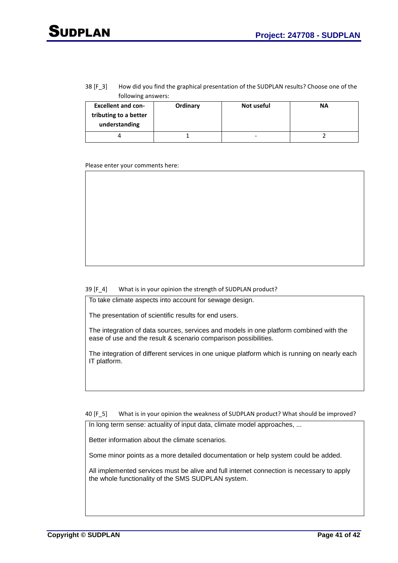#### 38 [F 3] How did you find the graphical presentation of the SUDPLAN results? Choose one of the following answers:

| <b>Excellent and con-</b><br>tributing to a better<br>understanding | Ordinary | Not useful               | <b>NA</b> |
|---------------------------------------------------------------------|----------|--------------------------|-----------|
|                                                                     |          | $\overline{\phantom{a}}$ |           |

Please enter your comments here:

#### 39 [F 4] What is in your opinion the strength of SUDPLAN product?

To take climate aspects into account for sewage design.

The presentation of scientific results for end users.

The integration of data sources, services and models in one platform combined with the ease of use and the result & scenario comparison possibilities.

The integration of different services in one unique platform which is running on nearly each IT platform.

40 [F 5] What is in your opinion the weakness of SUDPLAN product? What should be improved?

In long term sense: actuality of input data, climate model approaches, ...

Better information about the climate scenarios.

Some minor points as a more detailed documentation or help system could be added.

All implemented services must be alive and full internet connection is necessary to apply the whole functionality of the SMS SUDPLAN system.